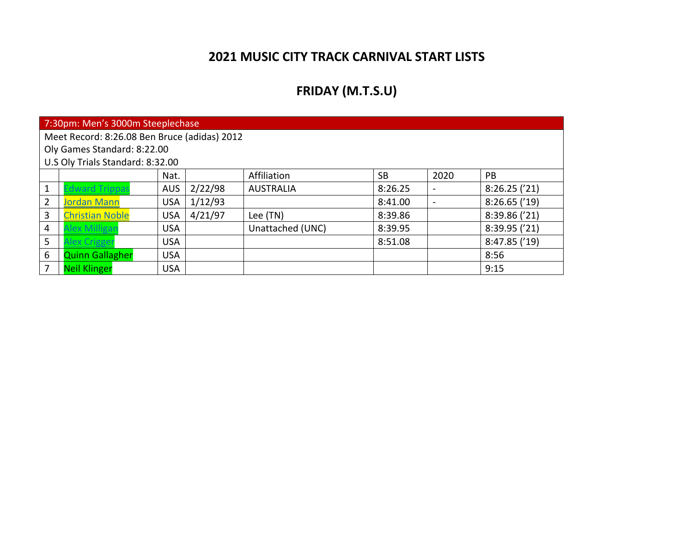### **2021 MUSIC CITY TRACK CARNIVAL START LISTS**

## **FRIDAY (M.T.S.U)**

|   | 7:30pm: Men's 3000m Steeplechase             |            |         |                  |           |                          |               |  |  |  |  |
|---|----------------------------------------------|------------|---------|------------------|-----------|--------------------------|---------------|--|--|--|--|
|   | Meet Record: 8:26.08 Ben Bruce (adidas) 2012 |            |         |                  |           |                          |               |  |  |  |  |
|   | Oly Games Standard: 8:22.00                  |            |         |                  |           |                          |               |  |  |  |  |
|   | U.S Oly Trials Standard: 8:32.00             |            |         |                  |           |                          |               |  |  |  |  |
|   |                                              | Nat.       |         | Affiliation      | <b>SB</b> | 2020                     | PB.           |  |  |  |  |
|   | dward Trippas                                | <b>AUS</b> | 2/22/98 | <b>AUSTRALIA</b> | 8:26.25   | $\overline{\phantom{0}}$ | 8:26.25('21)  |  |  |  |  |
| 2 | <b>Jordan Mann</b>                           | <b>USA</b> | 1/12/93 |                  | 8:41.00   | $\overline{\phantom{a}}$ | 8:26.65('19)  |  |  |  |  |
| 3 | <b>Christian Noble</b>                       | <b>USA</b> | 4/21/97 | Lee (TN)         | 8:39.86   |                          | 8:39.86 ('21) |  |  |  |  |
| 4 | lex Milligan                                 | <b>USA</b> |         | Unattached (UNC) | 8:39.95   |                          | 8:39.95 ('21) |  |  |  |  |
| 5 | lex Crigger                                  | <b>USA</b> |         |                  | 8:51.08   |                          | 8:47.85('19)  |  |  |  |  |
| 6 | <b>Quinn Gallagher</b>                       | <b>USA</b> |         |                  |           |                          | 8:56          |  |  |  |  |
| 7 | <b>Neil Klinger</b>                          | <b>USA</b> |         |                  |           |                          | 9:15          |  |  |  |  |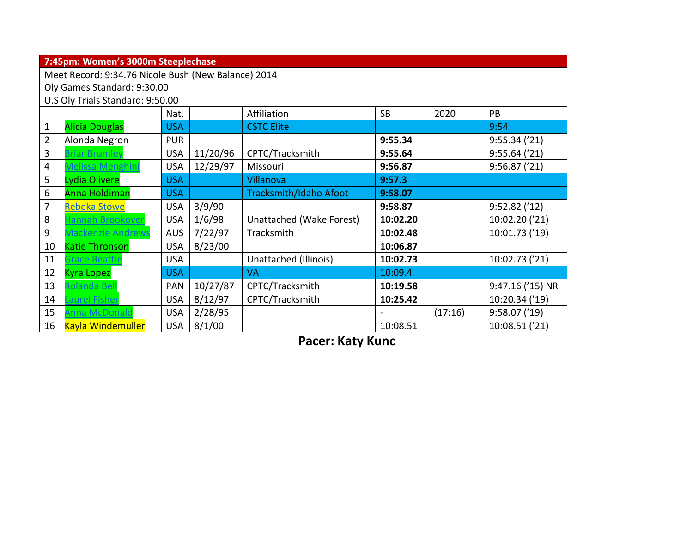|                | 7:45pm: Women's 3000m Steeplechase                  |            |          |                               |           |         |                  |  |  |  |
|----------------|-----------------------------------------------------|------------|----------|-------------------------------|-----------|---------|------------------|--|--|--|
|                | Meet Record: 9:34.76 Nicole Bush (New Balance) 2014 |            |          |                               |           |         |                  |  |  |  |
|                | Oly Games Standard: 9:30.00                         |            |          |                               |           |         |                  |  |  |  |
|                | U.S Oly Trials Standard: 9:50.00                    |            |          |                               |           |         |                  |  |  |  |
|                |                                                     | Nat.       |          | Affiliation                   | <b>SB</b> | 2020    | PB               |  |  |  |
| 1              | <b>Alicia Douglas</b>                               | <b>USA</b> |          | <b>CSTC Elite</b>             |           |         | 9:54             |  |  |  |
| $\overline{2}$ | Alonda Negron                                       | <b>PUR</b> |          |                               | 9:55.34   |         | 9:55.34('21)     |  |  |  |
| 3              | Briar Brumley                                       | <b>USA</b> | 11/20/96 | CPTC/Tracksmith               | 9:55.64   |         | 9:55.64('21)     |  |  |  |
| 4              | Melissa Menghin                                     | <b>USA</b> | 12/29/97 | Missouri                      | 9:56.87   |         | 9:56.87('21)     |  |  |  |
| 5              | <b>Lydia Olivere</b>                                | <b>USA</b> |          | Villanova                     | 9:57.3    |         |                  |  |  |  |
| 6              | <b>Anna Holdiman</b>                                | <b>USA</b> |          | <b>Tracksmith/Idaho Afoot</b> | 9:58.07   |         |                  |  |  |  |
| 7              | <b>Rebeka Stowe</b>                                 | <b>USA</b> | 3/9/90   |                               | 9:58.87   |         | 9:52.82('12)     |  |  |  |
| 8              | Hannah Brookover                                    | <b>USA</b> | 1/6/98   | Unattached (Wake Forest)      | 10:02.20  |         | 10:02.20 ('21)   |  |  |  |
| 9              | <b>Mackenzie Andrews</b>                            | <b>AUS</b> | 7/22/97  | Tracksmith                    | 10:02.48  |         | 10:01.73 ('19)   |  |  |  |
| 10             | <b>Katie Thronson</b>                               | <b>USA</b> | 8/23/00  |                               | 10:06.87  |         |                  |  |  |  |
| 11             | <b>Grace Beattie</b>                                | <b>USA</b> |          | Unattached (Illinois)         | 10:02.73  |         | 10:02.73 ('21)   |  |  |  |
| 12             | <b>Kyra Lopez</b>                                   | <b>USA</b> |          | <b>VA</b>                     | 10:09.4   |         |                  |  |  |  |
| 13             | Rolanda Bell                                        | <b>PAN</b> | 10/27/87 | CPTC/Tracksmith               | 10:19.58  |         | 9:47.16 ('15) NR |  |  |  |
| 14             | aurel Fisher                                        | <b>USA</b> | 8/12/97  | CPTC/Tracksmith               | 10:25.42  |         | 10:20.34 ('19)   |  |  |  |
| 15             | Anna McDonald                                       | <b>USA</b> | 2/28/95  |                               |           | (17:16) | 9:58.07('19)     |  |  |  |
| 16             | <b>Kayla Windemuller</b>                            | <b>USA</b> | 8/1/00   |                               | 10:08.51  |         | 10:08.51 ('21)   |  |  |  |

**Pacer: Katy Kunc**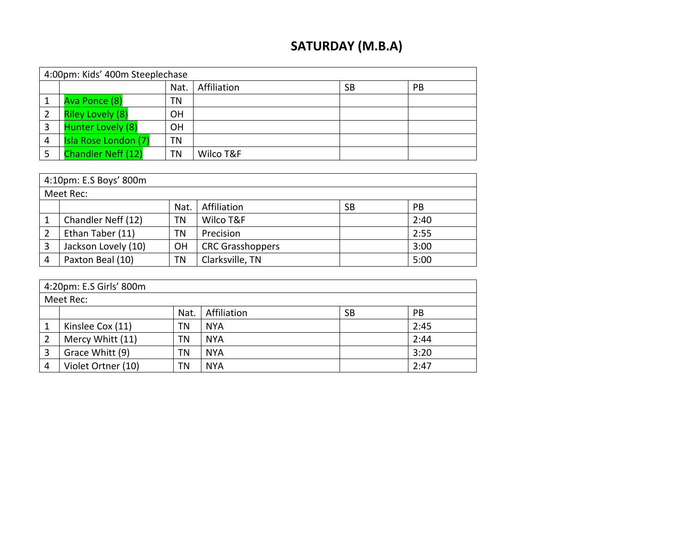## **SATURDAY (M.B.A)**

|   | 4:00pm: Kids' 400m Steeplechase |           |             |    |           |  |  |  |  |
|---|---------------------------------|-----------|-------------|----|-----------|--|--|--|--|
|   |                                 | Nat.      | Affiliation | SB | <b>PB</b> |  |  |  |  |
|   | Ava Ponce (8)                   | ΤN        |             |    |           |  |  |  |  |
|   | <b>Riley Lovely (8)</b>         | <b>OH</b> |             |    |           |  |  |  |  |
|   | Hunter Lovely (8)               | OН        |             |    |           |  |  |  |  |
| 4 | Isla Rose London (7)            | ΤN        |             |    |           |  |  |  |  |
|   | <b>Chandler Neff (12)</b>       | ΤN        | Wilco T&F   |    |           |  |  |  |  |

|                | 4:10pm: E.S Boys' 800m |           |                         |           |      |  |  |  |  |  |
|----------------|------------------------|-----------|-------------------------|-----------|------|--|--|--|--|--|
|                | Meet Rec:              |           |                         |           |      |  |  |  |  |  |
|                |                        | Nat.      | Affiliation             | <b>SB</b> | PB   |  |  |  |  |  |
|                | Chandler Neff (12)     | ΤN        | Wilco T&F               |           | 2:40 |  |  |  |  |  |
| $\overline{2}$ | Ethan Taber (11)       | TN        | Precision               |           | 2:55 |  |  |  |  |  |
| 3              | Jackson Lovely (10)    | <b>OH</b> | <b>CRC Grasshoppers</b> |           | 3:00 |  |  |  |  |  |
| 4              | Paxton Beal (10)       | ΤN        | Clarksville, TN         |           | 5:00 |  |  |  |  |  |

|   | 4:20pm: E.S Girls' 800m |      |             |           |           |  |  |  |  |
|---|-------------------------|------|-------------|-----------|-----------|--|--|--|--|
|   | Meet Rec:               |      |             |           |           |  |  |  |  |
|   |                         | Nat. | Affiliation | <b>SB</b> | <b>PB</b> |  |  |  |  |
|   | Kinslee Cox (11)        | ΤN   | <b>NYA</b>  |           | 2:45      |  |  |  |  |
|   | Mercy Whitt (11)        | TN   | <b>NYA</b>  |           | 2:44      |  |  |  |  |
|   | Grace Whitt (9)         | ΤN   | <b>NYA</b>  |           | 3:20      |  |  |  |  |
| 4 | Violet Ortner (10)      | TN   | <b>NYA</b>  |           | 2:47      |  |  |  |  |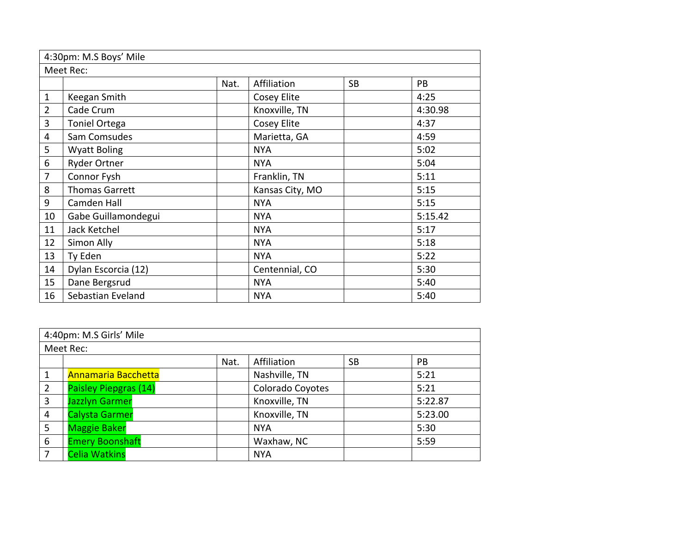|                | 4:30pm: M.S Boys' Mile |      |                 |           |         |  |  |  |  |  |  |
|----------------|------------------------|------|-----------------|-----------|---------|--|--|--|--|--|--|
|                | Meet Rec:              |      |                 |           |         |  |  |  |  |  |  |
|                |                        | Nat. | Affiliation     | <b>SB</b> | PB      |  |  |  |  |  |  |
| $\mathbf{1}$   | Keegan Smith           |      | Cosey Elite     |           | 4:25    |  |  |  |  |  |  |
| $\overline{2}$ | Cade Crum              |      | Knoxville, TN   |           | 4:30.98 |  |  |  |  |  |  |
| 3              | <b>Toniel Ortega</b>   |      | Cosey Elite     |           | 4:37    |  |  |  |  |  |  |
| 4              | Sam Comsudes           |      | Marietta, GA    |           | 4:59    |  |  |  |  |  |  |
| 5              | <b>Wyatt Boling</b>    |      | <b>NYA</b>      |           | 5:02    |  |  |  |  |  |  |
| 6              | Ryder Ortner           |      | <b>NYA</b>      |           | 5:04    |  |  |  |  |  |  |
| 7              | Connor Fysh            |      | Franklin, TN    |           | 5:11    |  |  |  |  |  |  |
| 8              | <b>Thomas Garrett</b>  |      | Kansas City, MO |           | 5:15    |  |  |  |  |  |  |
| 9              | Camden Hall            |      | <b>NYA</b>      |           | 5:15    |  |  |  |  |  |  |
| 10             | Gabe Guillamondegui    |      | <b>NYA</b>      |           | 5:15.42 |  |  |  |  |  |  |
| 11             | Jack Ketchel           |      | <b>NYA</b>      |           | 5:17    |  |  |  |  |  |  |
| 12             | Simon Ally             |      | <b>NYA</b>      |           | 5:18    |  |  |  |  |  |  |
| 13             | Ty Eden                |      | <b>NYA</b>      |           | 5:22    |  |  |  |  |  |  |
| 14             | Dylan Escorcia (12)    |      | Centennial, CO  |           | 5:30    |  |  |  |  |  |  |
| 15             | Dane Bergsrud          |      | <b>NYA</b>      |           | 5:40    |  |  |  |  |  |  |
| 16             | Sebastian Eveland      |      | <b>NYA</b>      |           | 5:40    |  |  |  |  |  |  |

|                | 4:40pm: M.S Girls' Mile |      |                  |           |           |  |  |  |  |  |
|----------------|-------------------------|------|------------------|-----------|-----------|--|--|--|--|--|
|                | Meet Rec:               |      |                  |           |           |  |  |  |  |  |
|                |                         | Nat. | Affiliation      | <b>SB</b> | <b>PB</b> |  |  |  |  |  |
|                | Annamaria Bacchetta     |      | Nashville, TN    |           | 5:21      |  |  |  |  |  |
| $\overline{2}$ | Paisley Piepgras (14)   |      | Colorado Coyotes |           | 5:21      |  |  |  |  |  |
| 3              | <b>Jazzlyn Garmer</b>   |      | Knoxville, TN    |           | 5:22.87   |  |  |  |  |  |
| 4              | <b>Calysta Garmer</b>   |      | Knoxville, TN    |           | 5:23.00   |  |  |  |  |  |
| 5              | <b>Maggie Baker</b>     |      | <b>NYA</b>       |           | 5:30      |  |  |  |  |  |
| 6              | <b>Emery Boonshaft</b>  |      | Waxhaw, NC       |           | 5:59      |  |  |  |  |  |
| 7              | <b>Celia Watkins</b>    |      | <b>NYA</b>       |           |           |  |  |  |  |  |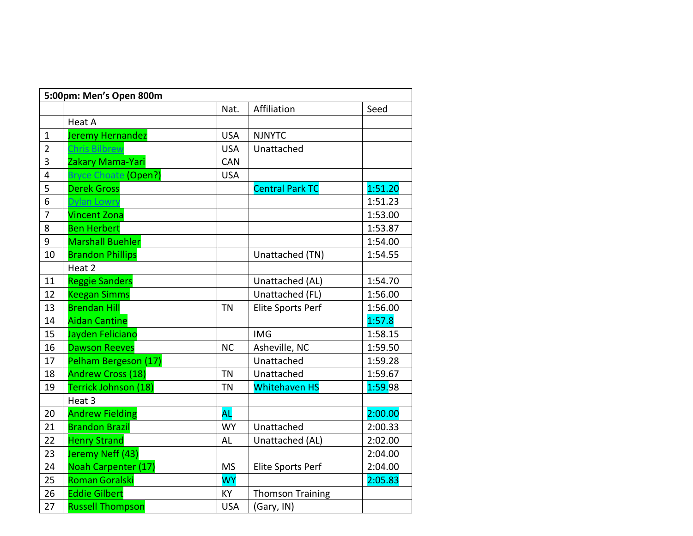|                | 5:00pm: Men's Open 800m  |            |                          |         |
|----------------|--------------------------|------------|--------------------------|---------|
|                |                          | Nat.       | Affiliation              | Seed    |
|                | Heat A                   |            |                          |         |
| 1              | Jeremy Hernandez         | <b>USA</b> | <b>NJNYTC</b>            |         |
| $\overline{2}$ | <b>Chris Bilbrew</b>     | <b>USA</b> | Unattached               |         |
| $\overline{3}$ | Zakary Mama-Yari         | CAN        |                          |         |
| 4              | Bryce Choate (Open?)     | <b>USA</b> |                          |         |
| 5              | <b>Derek Gross</b>       |            | <b>Central Park TC</b>   | 1:51.20 |
| 6              | Dylan Lowry              |            |                          | 1:51.23 |
| 7              | <b>Vincent Zona</b>      |            |                          | 1:53.00 |
| 8              | <b>Ben Herbert</b>       |            |                          | 1:53.87 |
| 9              | <b>Marshall Buehler</b>  |            |                          | 1:54.00 |
| 10             | <b>Brandon Phillips</b>  |            | Unattached (TN)          | 1:54.55 |
|                | Heat 2                   |            |                          |         |
| 11             | <b>Reggie Sanders</b>    |            | Unattached (AL)          | 1:54.70 |
| 12             | <b>Keegan Simms</b>      |            | Unattached (FL)          | 1:56.00 |
| 13             | <b>Brendan Hill</b>      | <b>TN</b>  | <b>Elite Sports Perf</b> | 1:56.00 |
| 14             | <b>Aidan Cantine</b>     |            |                          | 1:57.8  |
| 15             | Jayden Feliciano         |            | <b>IMG</b>               | 1:58.15 |
| 16             | <b>Dawson Reeves</b>     | <b>NC</b>  | Asheville, NC            | 1:59.50 |
| 17             | Pelham Bergeson (17)     |            | Unattached               | 1:59.28 |
| 18             | <b>Andrew Cross (18)</b> | <b>TN</b>  | Unattached               | 1:59.67 |
| 19             | Terrick Johnson (18)     | <b>TN</b>  | <b>Whitehaven HS</b>     | 1:59.98 |
|                | Heat <sub>3</sub>        |            |                          |         |
| 20             | <b>Andrew Fielding</b>   | <b>AL</b>  |                          | 2:00.00 |
| 21             | <b>Brandon Brazil</b>    | <b>WY</b>  | Unattached               | 2:00.33 |
| 22             | <b>Henry Strand</b>      | <b>AL</b>  | Unattached (AL)          | 2:02.00 |
| 23             | Jeremy Neff (43)         |            |                          | 2:04.00 |
| 24             | Noah Carpenter (17)      | <b>MS</b>  | Elite Sports Perf        | 2:04.00 |
| 25             | <b>Roman Goralski</b>    | <b>WY</b>  |                          | 2:05.83 |
| 26             | <b>Eddie Gilbert</b>     | KY         | <b>Thomson Training</b>  |         |
| 27             | <b>Russell Thompson</b>  | <b>USA</b> | (Gary, IN)               |         |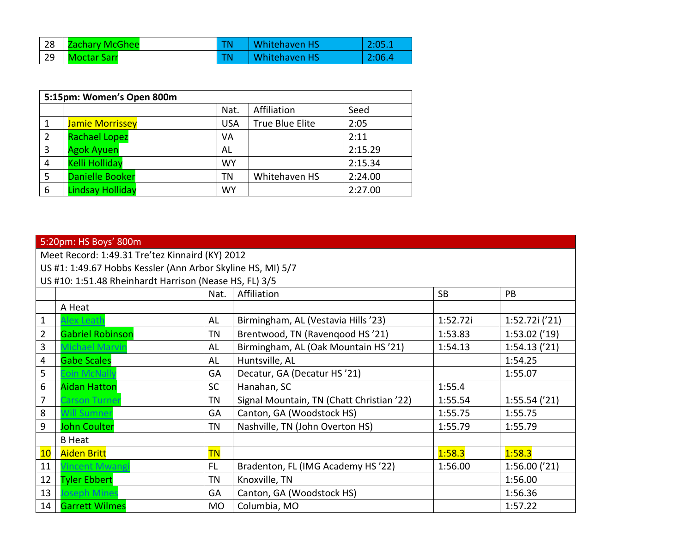|    | 28 Zachary McGhee  | Whitehaven HS        | 2:05.1 |
|----|--------------------|----------------------|--------|
| 29 | <b>Moctar Sarr</b> | <b>Whitehaven HS</b> | 2:06.4 |

|   | 5:15pm: Women's Open 800m |            |                        |         |  |  |  |  |  |
|---|---------------------------|------------|------------------------|---------|--|--|--|--|--|
|   |                           | Nat.       | Affiliation            | Seed    |  |  |  |  |  |
|   | <b>Jamie Morrissey</b>    | <b>USA</b> | <b>True Blue Elite</b> | 2:05    |  |  |  |  |  |
| 2 | <b>Rachael Lopez</b>      | VA         |                        | 2:11    |  |  |  |  |  |
| 3 | <b>Agok Ayuen</b>         | AL         |                        | 2:15.29 |  |  |  |  |  |
| 4 | <b>Kelli Holliday</b>     | <b>WY</b>  |                        | 2:15.34 |  |  |  |  |  |
| 5 | <b>Danielle Booker</b>    | ΤN         | Whitehaven HS          | 2:24.00 |  |  |  |  |  |
| 6 | <b>Lindsay Holliday</b>   | <b>WY</b>  |                        | 2:27.00 |  |  |  |  |  |

|                | 5:20pm: HS Boys' 800m                                       |           |                                           |           |                 |  |  |  |  |  |
|----------------|-------------------------------------------------------------|-----------|-------------------------------------------|-----------|-----------------|--|--|--|--|--|
|                | Meet Record: 1:49.31 Tre'tez Kinnaird (KY) 2012             |           |                                           |           |                 |  |  |  |  |  |
|                |                                                             |           |                                           |           |                 |  |  |  |  |  |
|                | US #1: 1:49.67 Hobbs Kessler (Ann Arbor Skyline HS, MI) 5/7 |           |                                           |           |                 |  |  |  |  |  |
|                | US #10: 1:51.48 Rheinhardt Harrison (Nease HS, FL) 3/5      |           |                                           |           |                 |  |  |  |  |  |
|                |                                                             | Nat.      | Affiliation                               | <b>SB</b> | PB              |  |  |  |  |  |
|                | A Heat                                                      |           |                                           |           |                 |  |  |  |  |  |
| 1              | Alex Leath                                                  | AL        | Birmingham, AL (Vestavia Hills '23)       | 1:52.72i  | 1:52.72i ('21)  |  |  |  |  |  |
| $\overline{2}$ | <b>Gabriel Robinson</b>                                     | <b>TN</b> | Brentwood, TN (Ravenqood HS'21)           | 1:53.83   | $1:53.02$ ('19) |  |  |  |  |  |
| 3              | <b>Michael Marvin</b>                                       | AL        | Birmingham, AL (Oak Mountain HS'21)       | 1:54.13   | 1:54.13('21)    |  |  |  |  |  |
| $\overline{4}$ | <b>Gabe Scales</b>                                          | AL        | Huntsville, AL                            |           | 1:54.25         |  |  |  |  |  |
| 5              | Eoin McNally                                                | GA        | Decatur, GA (Decatur HS'21)               |           | 1:55.07         |  |  |  |  |  |
| 6              | <b>Aidan Hatton</b>                                         | <b>SC</b> | Hanahan, SC                               | 1:55.4    |                 |  |  |  |  |  |
| 7              | Carson Turner                                               | <b>TN</b> | Signal Mountain, TN (Chatt Christian '22) | 1:55.54   | 1:55.54(21)     |  |  |  |  |  |
| 8              | Will Sumner                                                 | GA        | Canton, GA (Woodstock HS)                 | 1:55.75   | 1:55.75         |  |  |  |  |  |
| 9              | <b>John Coulter</b>                                         | <b>TN</b> | Nashville, TN (John Overton HS)           | 1:55.79   | 1:55.79         |  |  |  |  |  |
|                | <b>B</b> Heat                                               |           |                                           |           |                 |  |  |  |  |  |
| 10             | <b>Aiden Britt</b>                                          | <b>TN</b> |                                           | 1:58.3    | 1:58.3          |  |  |  |  |  |
| 11             | <b>Vincent Mwang</b>                                        | <b>FL</b> | Bradenton, FL (IMG Academy HS'22)         | 1:56.00   | 1:56.00('21)    |  |  |  |  |  |
| 12             | <b>Tyler Ebbert</b>                                         | <b>TN</b> | Knoxville, TN                             |           | 1:56.00         |  |  |  |  |  |
| 13             | <b>Joseph Mines</b>                                         | GA        | Canton, GA (Woodstock HS)                 |           | 1:56.36         |  |  |  |  |  |
| 14             | <b>Garrett Wilmes</b>                                       | <b>MO</b> | Columbia, MO                              |           | 1:57.22         |  |  |  |  |  |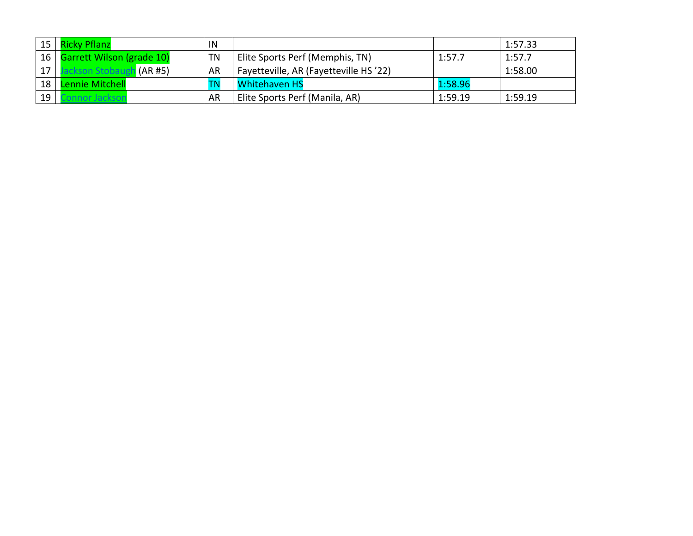|    | 15   Ricky Pflanz              | IN        |                                       |         | 1:57.33 |
|----|--------------------------------|-----------|---------------------------------------|---------|---------|
|    | 16   Garrett Wilson (grade 10) | <b>TN</b> | Elite Sports Perf (Memphis, TN)       | 1:57.7  | 1:57.7  |
| 17 | (AR#5)                         | AR        | Fayetteville, AR (Fayetteville HS'22) |         | 1:58.00 |
| 18 | Lennie Mitchell                |           | <b>Whitehaven HS</b>                  | 1:58.96 |         |
| 19 |                                | AR        | Elite Sports Perf (Manila, AR)        | 1:59.19 | 1:59.19 |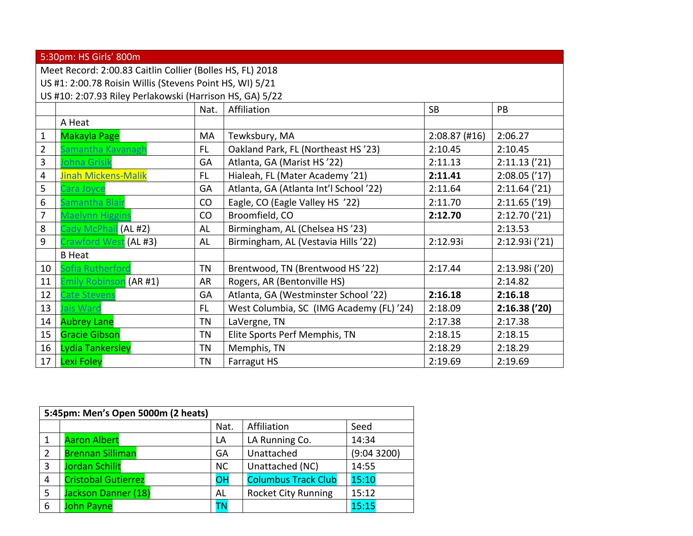|                                                           | 5:30pm: HS Girls' 800m                                   |           |                                          |                 |                 |  |  |  |  |
|-----------------------------------------------------------|----------------------------------------------------------|-----------|------------------------------------------|-----------------|-----------------|--|--|--|--|
| Meet Record: 2:00.83 Caitlin Collier (Bolles HS, FL) 2018 |                                                          |           |                                          |                 |                 |  |  |  |  |
|                                                           | US #1: 2:00.78 Roisin Willis (Stevens Point HS, WI) 5/21 |           |                                          |                 |                 |  |  |  |  |
|                                                           | US #10: 2:07.93 Riley Perlakowski (Harrison HS, GA) 5/22 |           |                                          |                 |                 |  |  |  |  |
|                                                           |                                                          | Nat.      | Affiliation                              | <b>SB</b>       | PB              |  |  |  |  |
|                                                           | A Heat                                                   |           |                                          |                 |                 |  |  |  |  |
| $\mathbf{1}$                                              | Makayla Page                                             | MA        | Tewksbury, MA                            | $2:08.87$ (#16) | 2:06.27         |  |  |  |  |
| $\overline{2}$                                            | Samantha Kavanagh                                        | FL.       | Oakland Park, FL (Northeast HS'23)       | 2:10.45         | 2:10.45         |  |  |  |  |
| 3                                                         | <b>Iohna Grisik</b>                                      | GA        | Atlanta, GA (Marist HS '22)              | 2:11.13         | 2:11.13('21)    |  |  |  |  |
| 4                                                         | <b>Jinah Mickens-Malik</b>                               | <b>FL</b> | Hialeah, FL (Mater Academy '21)          | 2:11.41         | 2:08.05('17)    |  |  |  |  |
| 5                                                         | Cara Joyce                                               | GA        | Atlanta, GA (Atlanta Int'l School '22)   | 2:11.64         | $2:11.64$ ('21) |  |  |  |  |
| 6                                                         | Samantha Blaii                                           | CO        | Eagle, CO (Eagle Valley HS '22)          | 2:11.70         | 2:11.65('19)    |  |  |  |  |
| 7                                                         | Maelynn Higgins                                          | CO        | Broomfield, CO                           | 2:12.70         | 2:12.70('21)    |  |  |  |  |
| 8                                                         | Cady McPhail (AL #2)                                     | AL        | Birmingham, AL (Chelsea HS'23)           |                 | 2:13.53         |  |  |  |  |
| 9                                                         | Crawford West (AL #3)                                    | AL        | Birmingham, AL (Vestavia Hills '22)      | 2:12.93i        | 2:12.93i ('21)  |  |  |  |  |
|                                                           | <b>B</b> Heat                                            |           |                                          |                 |                 |  |  |  |  |
| 10                                                        | Sofia Rutherford                                         | <b>TN</b> | Brentwood, TN (Brentwood HS'22)          | 2:17.44         | 2:13.98i ('20)  |  |  |  |  |
| 11                                                        | Emily Robinson (AR #1)                                   | AR        | Rogers, AR (Bentonville HS)              |                 | 2:14.82         |  |  |  |  |
| 12                                                        | <b>Cate Stevens</b>                                      | GA        | Atlanta, GA (Westminster School'22)      | 2:16.18         | 2:16.18         |  |  |  |  |
| 13                                                        | Jais Ward                                                | FL.       | West Columbia, SC (IMG Academy (FL) '24) | 2:18.09         | 2:16.38('20)    |  |  |  |  |
| 14                                                        | <b>Aubrey Lane</b>                                       | TN        | LaVergne, TN                             | 2:17.38         | 2:17.38         |  |  |  |  |
| 15                                                        | <b>Gracie Gibson</b>                                     | TN        | Elite Sports Perf Memphis, TN            | 2:18.15         | 2:18.15         |  |  |  |  |
| 16                                                        | Lydia Tankersley                                         | <b>TN</b> | Memphis, TN                              | 2:18.29         | 2:18.29         |  |  |  |  |
| 17                                                        | Lexi Foley                                               | TN        | Farragut HS                              | 2:19.69         | 2:19.69         |  |  |  |  |

|   | 5:45pm: Men's Open 5000m (2 heats) |           |                            |            |  |  |  |  |  |
|---|------------------------------------|-----------|----------------------------|------------|--|--|--|--|--|
|   |                                    | Nat.      | Affiliation                | Seed       |  |  |  |  |  |
|   | <b>Aaron Albert</b>                | LA        | LA Running Co.             | 14:34      |  |  |  |  |  |
| 2 | <b>Brennan Silliman</b>            | GA        | Unattached                 | (9:043200) |  |  |  |  |  |
| 3 | Jordan Schilit                     | <b>NC</b> | Unattached (NC)            | 14:55      |  |  |  |  |  |
| 4 | <b>Cristobal Gutierrez</b>         | OH        | <b>Columbus Track Club</b> | 15:10      |  |  |  |  |  |
| 5 | Jackson Danner (18)                | AL        | <b>Rocket City Running</b> | 15:12      |  |  |  |  |  |
| 6 | John Payne                         | ΤN        |                            | 15:15      |  |  |  |  |  |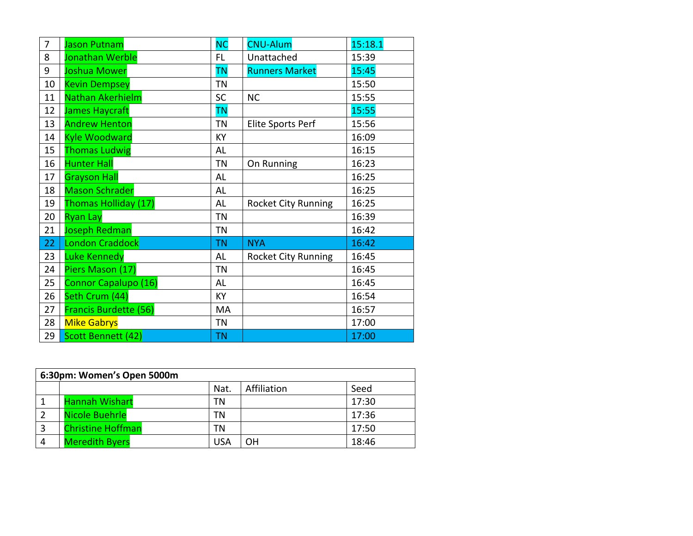| 7  | <b>Jason Putnam</b>   | NC        | <b>CNU-Alum</b>            | 15:18.1 |
|----|-----------------------|-----------|----------------------------|---------|
| 8  | Jonathan Werble       | FL.       | Unattached                 | 15:39   |
| 9  | Joshua Mower          | <b>TN</b> | <b>Runners Market</b>      | 15:45   |
| 10 | <b>Kevin Dempsey</b>  | <b>TN</b> |                            | 15:50   |
| 11 | Nathan Akerhielm      | <b>SC</b> | <b>NC</b>                  | 15:55   |
| 12 | James Haycraft        | <b>TN</b> |                            | 15:55   |
| 13 | <b>Andrew Henton</b>  | <b>TN</b> | Elite Sports Perf          | 15:56   |
| 14 | <b>Kyle Woodward</b>  | KY        |                            | 16:09   |
| 15 | <b>Thomas Ludwig</b>  | AL        |                            | 16:15   |
| 16 | <b>Hunter Hall</b>    | <b>TN</b> | On Running                 | 16:23   |
| 17 | <b>Grayson Hall</b>   | AL        |                            | 16:25   |
| 18 | <b>Mason Schrader</b> | AL        |                            | 16:25   |
| 19 | Thomas Holliday (17)  | AL        | <b>Rocket City Running</b> | 16:25   |
| 20 | <b>Ryan Lay</b>       | <b>TN</b> |                            | 16:39   |
| 21 | <b>Joseph Redman</b>  | <b>TN</b> |                            | 16:42   |
| 22 | London Craddock       | <b>TN</b> | <b>NYA</b>                 | 16:42   |
| 23 | <b>Luke Kennedy</b>   | AL        | <b>Rocket City Running</b> | 16:45   |
| 24 | Piers Mason (17)      | <b>TN</b> |                            | 16:45   |
| 25 | Connor Capalupo (16)  | AL        |                            | 16:45   |
| 26 | Seth Crum (44)        | <b>KY</b> |                            | 16:54   |
| 27 | Francis Burdette (56) | MA        |                            | 16:57   |
| 28 | <b>Mike Gabrys</b>    | <b>TN</b> |                            | 17:00   |
| 29 | Scott Bennett (42)    | <b>TN</b> |                            | 17:00   |

| 6:30pm: Women's Open 5000m |                          |      |             |       |  |  |  |  |  |  |
|----------------------------|--------------------------|------|-------------|-------|--|--|--|--|--|--|
|                            |                          | Nat. | Affiliation | Seed  |  |  |  |  |  |  |
|                            | <b>Hannah Wishart</b>    | ΤN   |             | 17:30 |  |  |  |  |  |  |
|                            | <b>Nicole Buehrle</b>    | ΤN   |             | 17:36 |  |  |  |  |  |  |
|                            | <b>Christine Hoffman</b> | ΤN   |             | 17:50 |  |  |  |  |  |  |
|                            | <b>Meredith Byers</b>    | USA  | OH          | 18:46 |  |  |  |  |  |  |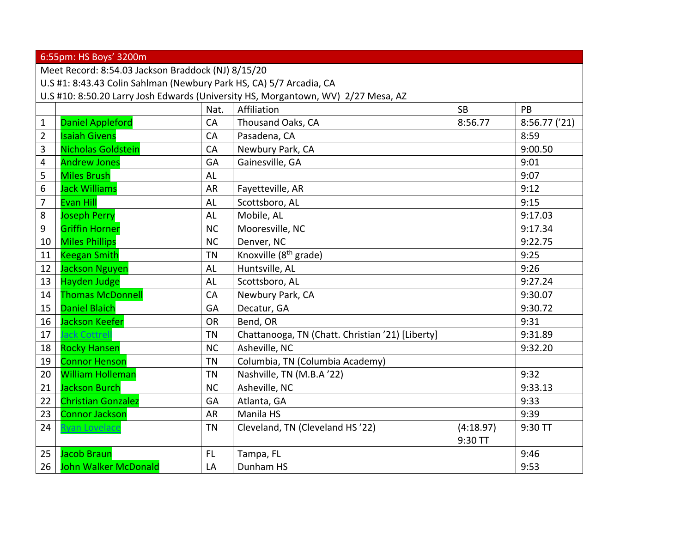|                | 6:55pm: HS Boys' 3200m                                                            |           |                                                  |           |              |  |  |  |  |
|----------------|-----------------------------------------------------------------------------------|-----------|--------------------------------------------------|-----------|--------------|--|--|--|--|
|                | Meet Record: 8:54.03 Jackson Braddock (NJ) 8/15/20                                |           |                                                  |           |              |  |  |  |  |
|                | U.S #1: 8:43.43 Colin Sahlman (Newbury Park HS, CA) 5/7 Arcadia, CA               |           |                                                  |           |              |  |  |  |  |
|                | U.S #10: 8:50.20 Larry Josh Edwards (University HS, Morgantown, WV) 2/27 Mesa, AZ |           |                                                  |           |              |  |  |  |  |
|                |                                                                                   | Nat.      | Affiliation                                      | <b>SB</b> | PB           |  |  |  |  |
| $\mathbf{1}$   | <b>Daniel Appleford</b>                                                           | CA        | Thousand Oaks, CA                                | 8:56.77   | 8:56.77('21) |  |  |  |  |
| $\overline{2}$ | <b>Isaiah Givens</b>                                                              | CA        | Pasadena, CA                                     |           | 8:59         |  |  |  |  |
| 3              | Nicholas Goldstein                                                                | CA        | Newbury Park, CA                                 |           | 9:00.50      |  |  |  |  |
| 4              | <b>Andrew Jones</b>                                                               | GA        | Gainesville, GA                                  |           | 9:01         |  |  |  |  |
| 5              | <b>Miles Brush</b>                                                                | AL        |                                                  |           | 9:07         |  |  |  |  |
| 6              | <b>Jack Williams</b>                                                              | <b>AR</b> | Fayetteville, AR                                 |           | 9:12         |  |  |  |  |
| $\overline{7}$ | <b>Evan Hill</b>                                                                  | <b>AL</b> | Scottsboro, AL                                   |           | 9:15         |  |  |  |  |
| 8              | <b>Joseph Perry</b>                                                               | AL        | Mobile, AL                                       |           | 9:17.03      |  |  |  |  |
| 9              | <b>Griffin Horner</b>                                                             | <b>NC</b> | Mooresville, NC                                  |           | 9:17.34      |  |  |  |  |
| 10             | <b>Miles Phillips</b>                                                             | <b>NC</b> | Denver, NC                                       |           | 9:22.75      |  |  |  |  |
| 11             | <b>Keegan Smith</b>                                                               | <b>TN</b> | Knoxville (8 <sup>th</sup> grade)                |           | 9:25         |  |  |  |  |
| 12             | <b>Jackson Nguyen</b>                                                             | <b>AL</b> | Huntsville, AL                                   |           | 9:26         |  |  |  |  |
| 13             | <b>Hayden Judge</b>                                                               | <b>AL</b> | Scottsboro, AL                                   |           | 9:27.24      |  |  |  |  |
| 14             | <b>Thomas McDonnell</b>                                                           | CA        | Newbury Park, CA                                 |           | 9:30.07      |  |  |  |  |
| 15             | <b>Daniel Blaich</b>                                                              | GA        | Decatur, GA                                      |           | 9:30.72      |  |  |  |  |
| 16             | <b>Jackson Keefer</b>                                                             | <b>OR</b> | Bend, OR                                         |           | 9:31         |  |  |  |  |
| 17             | <b>Jack Cottrel</b>                                                               | <b>TN</b> | Chattanooga, TN (Chatt. Christian '21) [Liberty] |           | 9:31.89      |  |  |  |  |
| 18             | <b>Rocky Hansen</b>                                                               | <b>NC</b> | Asheville, NC                                    |           | 9:32.20      |  |  |  |  |
| 19             | <b>Connor Henson</b>                                                              | <b>TN</b> | Columbia, TN (Columbia Academy)                  |           |              |  |  |  |  |
| 20             | <b>William Holleman</b>                                                           | <b>TN</b> | Nashville, TN (M.B.A '22)                        |           | 9:32         |  |  |  |  |
| 21             | <b>Jackson Burch</b>                                                              | <b>NC</b> | Asheville, NC                                    |           | 9:33.13      |  |  |  |  |
| 22             | <b>Christian Gonzalez</b>                                                         | GA        | Atlanta, GA                                      |           | 9:33         |  |  |  |  |
| 23             | <b>Connor Jackson</b>                                                             | <b>AR</b> | Manila HS                                        |           | 9:39         |  |  |  |  |
| 24             | <b>Ryan Lovelace</b>                                                              | <b>TN</b> | Cleveland, TN (Cleveland HS'22)                  | (4:18.97) | 9:30 TT      |  |  |  |  |
|                |                                                                                   |           |                                                  | 9:30 TT   |              |  |  |  |  |
| 25             | <b>Jacob Braun</b>                                                                | FL.       | Tampa, FL                                        |           | 9:46         |  |  |  |  |
| 26             | <b>John Walker McDonald</b>                                                       | LA        | Dunham HS                                        |           | 9:53         |  |  |  |  |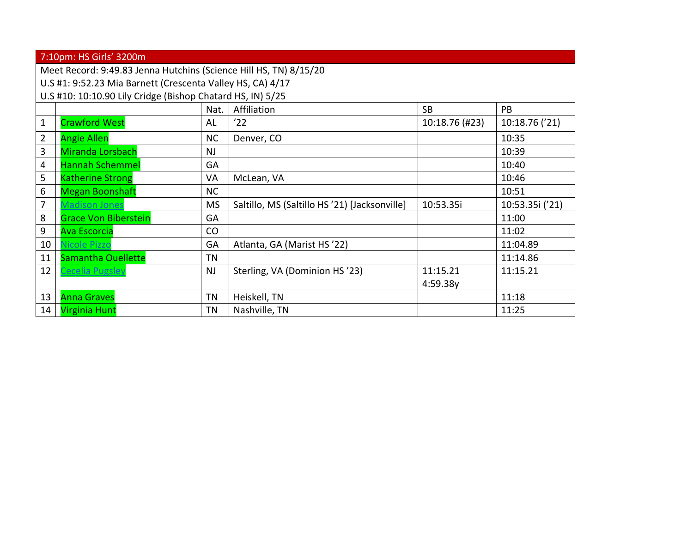|                | 7:10pm: HS Girls' 3200m                                           |           |                                               |                |                 |  |  |  |  |
|----------------|-------------------------------------------------------------------|-----------|-----------------------------------------------|----------------|-----------------|--|--|--|--|
|                | Meet Record: 9:49.83 Jenna Hutchins (Science Hill HS, TN) 8/15/20 |           |                                               |                |                 |  |  |  |  |
|                | U.S #1: 9:52.23 Mia Barnett (Crescenta Valley HS, CA) 4/17        |           |                                               |                |                 |  |  |  |  |
|                | U.S #10: 10:10.90 Lily Cridge (Bishop Chatard HS, IN) 5/25        |           |                                               |                |                 |  |  |  |  |
|                |                                                                   | Nat.      | Affiliation                                   | <b>SB</b>      | <b>PB</b>       |  |  |  |  |
| $\mathbf{1}$   | Crawford West                                                     | AL        | '22                                           | 10:18.76 (#23) | 10:18.76 ('21)  |  |  |  |  |
| $\overline{2}$ | <b>Angie Allen</b>                                                | <b>NC</b> | Denver, CO                                    |                | 10:35           |  |  |  |  |
| $\overline{3}$ | Miranda Lorsbach                                                  | <b>NJ</b> |                                               |                | 10:39           |  |  |  |  |
| $\overline{4}$ | <b>Hannah Schemmel</b>                                            | GA        |                                               |                | 10:40           |  |  |  |  |
| 5              | <b>Katherine Strong</b>                                           | VA        | McLean, VA                                    |                | 10:46           |  |  |  |  |
| 6              | Megan Boonshaft                                                   | <b>NC</b> |                                               |                | 10:51           |  |  |  |  |
| 7              | <b>Madison Jones</b>                                              | <b>MS</b> | Saltillo, MS (Saltillo HS '21) [Jacksonville] | 10:53.35i      | 10:53.35i ('21) |  |  |  |  |
| $\,8\,$        | <b>Grace Von Biberstein</b>                                       | GA        |                                               |                | 11:00           |  |  |  |  |
| 9              | <b>Ava Escorcia</b>                                               | CO        |                                               |                | 11:02           |  |  |  |  |
| 10             | <b>Nicole Pizzo</b>                                               | GA        | Atlanta, GA (Marist HS '22)                   |                | 11:04.89        |  |  |  |  |
| 11             | <b>Samantha Ouellette</b>                                         | <b>TN</b> |                                               |                | 11:14.86        |  |  |  |  |
| 12             | Cecelia Pugsley                                                   | <b>NJ</b> | Sterling, VA (Dominion HS'23)                 | 11:15.21       | 11:15.21        |  |  |  |  |
|                |                                                                   |           |                                               | 4:59.38y       |                 |  |  |  |  |
| 13             | <b>Anna Graves</b>                                                | <b>TN</b> | Heiskell, TN                                  |                | 11:18           |  |  |  |  |
| 14             | <b>Virginia Hunt</b>                                              | <b>TN</b> | Nashville, TN                                 |                | 11:25           |  |  |  |  |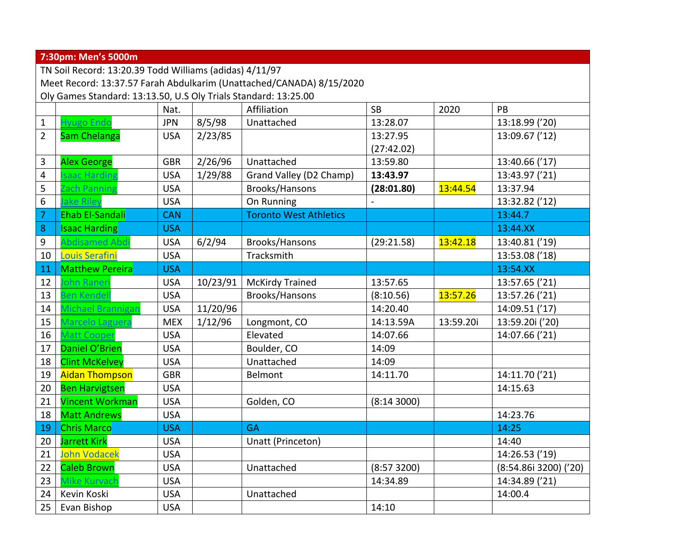|                                                                      | 7:30pm: Men's 5000m                                             |            |          |                               |             |           |                       |  |  |  |  |
|----------------------------------------------------------------------|-----------------------------------------------------------------|------------|----------|-------------------------------|-------------|-----------|-----------------------|--|--|--|--|
|                                                                      | TN Soil Record: 13:20.39 Todd Williams (adidas) 4/11/97         |            |          |                               |             |           |                       |  |  |  |  |
| Meet Record: 13:37.57 Farah Abdulkarim (Unattached/CANADA) 8/15/2020 |                                                                 |            |          |                               |             |           |                       |  |  |  |  |
|                                                                      | Oly Games Standard: 13:13.50, U.S Oly Trials Standard: 13:25.00 |            |          |                               |             |           |                       |  |  |  |  |
|                                                                      |                                                                 | Nat.       |          | Affiliation                   | <b>SB</b>   | 2020      | PB                    |  |  |  |  |
| $\mathbf 1$                                                          | Hyugo Endo                                                      | <b>JPN</b> | 8/5/98   | Unattached                    | 13:28.07    |           | 13:18.99 ('20)        |  |  |  |  |
| $\overline{2}$                                                       | <b>Sam Chelanga</b>                                             | <b>USA</b> | 2/23/85  |                               | 13:27.95    |           | 13:09.67 ('12)        |  |  |  |  |
|                                                                      |                                                                 |            |          |                               | (27:42.02)  |           |                       |  |  |  |  |
| 3                                                                    | <b>Alex George</b>                                              | <b>GBR</b> | 2/26/96  | Unattached                    | 13:59.80    |           | 13:40.66 ('17)        |  |  |  |  |
| $\overline{4}$                                                       | saac Harding                                                    | <b>USA</b> | 1/29/88  | Grand Valley (D2 Champ)       | 13:43.97    |           | 13:43.97 ('21)        |  |  |  |  |
| 5                                                                    | ach Panning                                                     | <b>USA</b> |          | Brooks/Hansons                | (28:01.80)  | 13:44.54  | 13:37.94              |  |  |  |  |
| $\boldsymbol{6}$                                                     | ake Riley                                                       | <b>USA</b> |          | On Running                    |             |           | 13:32.82 ('12)        |  |  |  |  |
| $\overline{7}$                                                       | <b>Ehab El-Sandali</b>                                          | <b>CAN</b> |          | <b>Toronto West Athletics</b> |             |           | 13:44.7               |  |  |  |  |
| $\bf 8$                                                              | <b>Isaac Harding</b>                                            | <b>USA</b> |          |                               |             |           | 13:44.XX              |  |  |  |  |
| $\boldsymbol{9}$                                                     | Abdisamed Abdi                                                  | <b>USA</b> | 6/2/94   | Brooks/Hansons                | (29:21.58)  | 13:42.18  | 13:40.81 ('19)        |  |  |  |  |
| 10                                                                   | <b>Louis Serafini</b>                                           | <b>USA</b> |          | Tracksmith                    |             |           | 13:53.08 ('18)        |  |  |  |  |
| 11                                                                   | <b>Matthew Pereira</b>                                          | <b>USA</b> |          |                               |             |           | 13:54.XX              |  |  |  |  |
| 12                                                                   | ohn Raner                                                       | <b>USA</b> | 10/23/91 | <b>McKirdy Trained</b>        | 13:57.65    |           | 13:57.65 ('21)        |  |  |  |  |
| 13                                                                   | Ben Kendell                                                     | <b>USA</b> |          | Brooks/Hansons                | (8:10.56)   | 13:57.26  | 13:57.26 ('21)        |  |  |  |  |
| 14                                                                   | Michael Brannigar                                               | <b>USA</b> | 11/20/96 |                               | 14:20.40    |           | 14:09.51 ('17)        |  |  |  |  |
| 15                                                                   | Marcelo Laguera                                                 | <b>MEX</b> | 1/12/96  | Longmont, CO                  | 14:13.59A   | 13:59.20i | 13:59.20i ('20)       |  |  |  |  |
| 16                                                                   | <b>Matt Cooper</b>                                              | <b>USA</b> |          | Elevated                      | 14:07.66    |           | 14:07.66 ('21)        |  |  |  |  |
| 17                                                                   | Daniel O'Brien                                                  | <b>USA</b> |          | Boulder, CO                   | 14:09       |           |                       |  |  |  |  |
| 18                                                                   | <b>Clint McKelvey</b>                                           | <b>USA</b> |          | Unattached                    | 14:09       |           |                       |  |  |  |  |
| 19                                                                   | <b>Aidan Thompson</b>                                           | <b>GBR</b> |          | Belmont                       | 14:11.70    |           | 14:11.70 ('21)        |  |  |  |  |
| 20                                                                   | <b>Ben Harvigtsen</b>                                           | <b>USA</b> |          |                               |             |           | 14:15.63              |  |  |  |  |
| 21                                                                   | <b>Vincent Workman</b>                                          | <b>USA</b> |          | Golden, CO                    | (8:143000)  |           |                       |  |  |  |  |
| 18                                                                   | <b>Matt Andrews</b>                                             | <b>USA</b> |          |                               |             |           | 14:23.76              |  |  |  |  |
| 19                                                                   | <b>Chris Marco</b>                                              | <b>USA</b> |          | <b>GA</b>                     |             |           | 14:25                 |  |  |  |  |
|                                                                      | 20 Jarrett Kirk                                                 | <b>USA</b> |          | Unatt (Princeton)             |             |           | 14:40                 |  |  |  |  |
| 21                                                                   | <b>John Vodacek</b>                                             | <b>USA</b> |          |                               |             |           | 14:26.53 ('19)        |  |  |  |  |
| 22                                                                   | <b>Caleb Brown</b>                                              | <b>USA</b> |          | Unattached                    | (8:57 3200) |           | (8:54.86i 3200) ('20) |  |  |  |  |
| 23                                                                   | Mike Kurvach                                                    | <b>USA</b> |          |                               | 14:34.89    |           | 14:34.89 ('21)        |  |  |  |  |
| 24                                                                   | Kevin Koski                                                     | <b>USA</b> |          | Unattached                    |             |           | 14:00.4               |  |  |  |  |
| 25                                                                   | Evan Bishop                                                     | <b>USA</b> |          |                               | 14:10       |           |                       |  |  |  |  |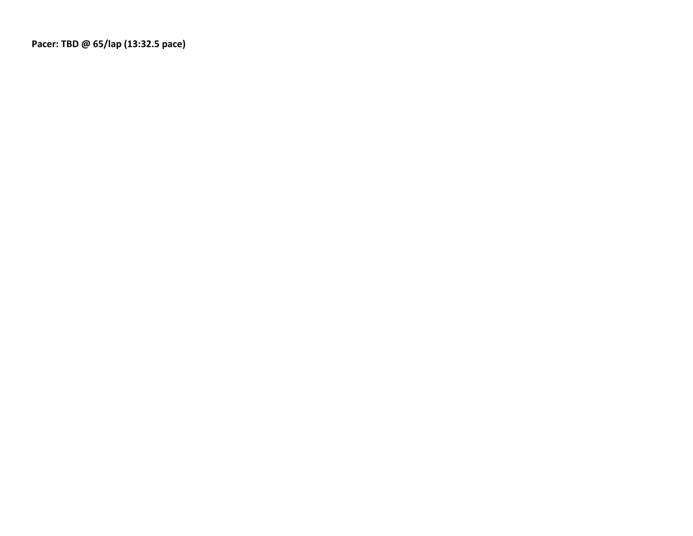**Pacer: TBD @ 65/lap (13:32.5 pace)**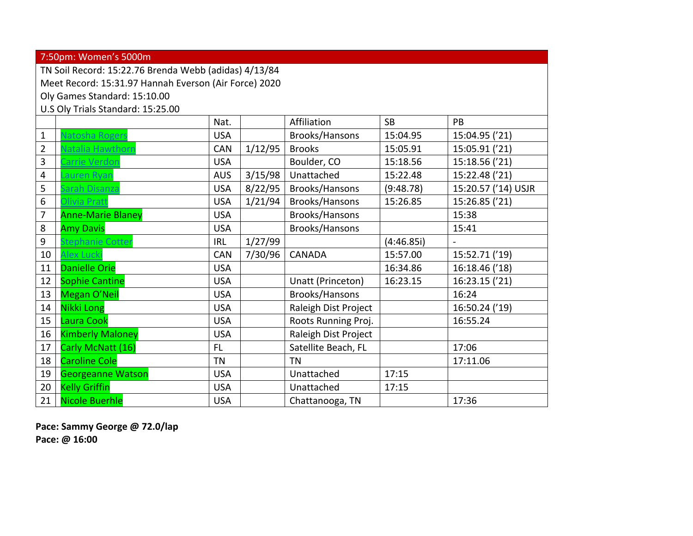|                | 7:50pm: Women's 5000m                                 |            |         |                      |           |                     |  |  |  |  |
|----------------|-------------------------------------------------------|------------|---------|----------------------|-----------|---------------------|--|--|--|--|
|                | TN Soil Record: 15:22.76 Brenda Webb (adidas) 4/13/84 |            |         |                      |           |                     |  |  |  |  |
|                | Meet Record: 15:31.97 Hannah Everson (Air Force) 2020 |            |         |                      |           |                     |  |  |  |  |
|                | Oly Games Standard: 15:10.00                          |            |         |                      |           |                     |  |  |  |  |
|                | U.S Oly Trials Standard: 15:25.00                     |            |         |                      |           |                     |  |  |  |  |
|                |                                                       | Nat.       |         | Affiliation          | <b>SB</b> | PB                  |  |  |  |  |
| $\mathbf 1$    | <b>Vatosha Rogers</b>                                 | <b>USA</b> |         | Brooks/Hansons       | 15:04.95  | 15:04.95 ('21)      |  |  |  |  |
| $\overline{2}$ | Natalia Hawthorr                                      | <b>CAN</b> | 1/12/95 | <b>Brooks</b>        | 15:05.91  | 15:05.91 ('21)      |  |  |  |  |
| 3              | Carrie Verdon                                         | <b>USA</b> |         | Boulder, CO          | 15:18.56  | 15:18.56 ('21)      |  |  |  |  |
| 4              | Lauren Ryan                                           | <b>AUS</b> | 3/15/98 | Unattached           | 15:22.48  | 15:22.48 ('21)      |  |  |  |  |
| 5              | Sarah Disanza                                         | <b>USA</b> | 8/22/95 | Brooks/Hansons       | (9:48.78) | 15:20.57 ('14) USJR |  |  |  |  |
| 6              | Olivia Pratt                                          | <b>USA</b> | 1/21/94 | Brooks/Hansons       | 15:26.85  | 15:26.85 ('21)      |  |  |  |  |
| $\overline{7}$ | <b>Anne-Marie Blaney</b>                              | <b>USA</b> |         | Brooks/Hansons       |           | 15:38               |  |  |  |  |
| $\bf 8$        | <b>Amy Davis</b>                                      | <b>USA</b> |         | Brooks/Hansons       |           | 15:41               |  |  |  |  |
| 9              | Stephanie Cotter                                      | <b>IRL</b> | 1/27/99 |                      | (4:46.85) |                     |  |  |  |  |
| 10             | Alex Lucki                                            | <b>CAN</b> | 7/30/96 | <b>CANADA</b>        | 15:57.00  | 15:52.71 ('19)      |  |  |  |  |
| 11             | <b>Danielle Orie</b>                                  | <b>USA</b> |         |                      | 16:34.86  | 16:18.46 ('18)      |  |  |  |  |
| 12             | <b>Sophie Cantine</b>                                 | <b>USA</b> |         | Unatt (Princeton)    | 16:23.15  | 16:23.15 ('21)      |  |  |  |  |
| 13             | <b>Megan O'Neil</b>                                   | <b>USA</b> |         | Brooks/Hansons       |           | 16:24               |  |  |  |  |
| 14             | <b>Nikki Long</b>                                     | <b>USA</b> |         | Raleigh Dist Project |           | 16:50.24 ('19)      |  |  |  |  |
| 15             | Laura Cook                                            | <b>USA</b> |         | Roots Running Proj.  |           | 16:55.24            |  |  |  |  |
| 16             | <b>Kimberly Maloney</b>                               | <b>USA</b> |         | Raleigh Dist Project |           |                     |  |  |  |  |
| 17             | Carly McNatt (16)                                     | FL         |         | Satellite Beach, FL  |           | 17:06               |  |  |  |  |
| 18             | <b>Caroline Cole</b>                                  | <b>TN</b>  |         | <b>TN</b>            |           | 17:11.06            |  |  |  |  |
| 19             | <b>Georgeanne Watson</b>                              | <b>USA</b> |         | Unattached           | 17:15     |                     |  |  |  |  |
| 20             | <b>Kelly Griffin</b>                                  | <b>USA</b> |         | Unattached           | 17:15     |                     |  |  |  |  |
| 21             | <b>Nicole Buerhle</b>                                 | <b>USA</b> |         | Chattanooga, TN      |           | 17:36               |  |  |  |  |

**Pace: Sammy George @ 72.0/lap Pace: @ 16:00**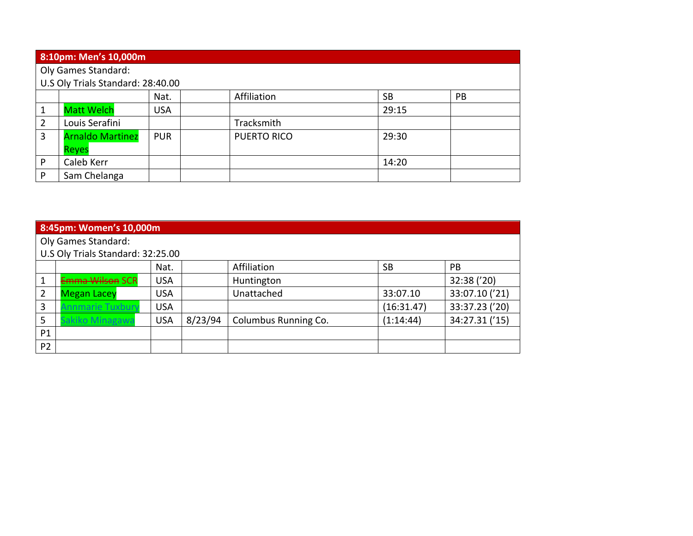|   | 8:10pm: Men's 10,000m             |            |                    |           |           |  |  |  |  |
|---|-----------------------------------|------------|--------------------|-----------|-----------|--|--|--|--|
|   | <b>Oly Games Standard:</b>        |            |                    |           |           |  |  |  |  |
|   | U.S Oly Trials Standard: 28:40.00 |            |                    |           |           |  |  |  |  |
|   |                                   | Nat.       | Affiliation        | <b>SB</b> | <b>PB</b> |  |  |  |  |
| 1 | <b>Matt Welch</b>                 | <b>USA</b> |                    | 29:15     |           |  |  |  |  |
| 2 | Louis Serafini                    |            | Tracksmith         |           |           |  |  |  |  |
| 3 | <b>Arnaldo Martinez</b>           | <b>PUR</b> | <b>PUERTO RICO</b> | 29:30     |           |  |  |  |  |
|   | <b>Reyes</b>                      |            |                    |           |           |  |  |  |  |
| P | Caleb Kerr                        |            |                    | 14:20     |           |  |  |  |  |
| P | Sam Chelanga                      |            |                    |           |           |  |  |  |  |

|                | 8:45pm: Women's 10,000m           |            |         |                      |            |                |  |  |  |  |
|----------------|-----------------------------------|------------|---------|----------------------|------------|----------------|--|--|--|--|
|                | Oly Games Standard:               |            |         |                      |            |                |  |  |  |  |
|                | U.S Oly Trials Standard: 32:25.00 |            |         |                      |            |                |  |  |  |  |
|                |                                   | Nat.       |         | Affiliation          | <b>SB</b>  | <b>PB</b>      |  |  |  |  |
|                | Emma Wilson SCR                   | <b>USA</b> |         | Huntington           |            | 32:38 ('20)    |  |  |  |  |
| $\overline{2}$ | <b>Megan Lacey</b>                | USA        |         | Unattached           | 33:07.10   | 33:07.10 ('21) |  |  |  |  |
| 3              | nnmarie Tuxbury                   | <b>USA</b> |         |                      | (16:31.47) | 33:37.23 ('20) |  |  |  |  |
| 5              | akiko Minagawa                    | <b>USA</b> | 8/23/94 | Columbus Running Co. | (1:14:44)  | 34:27.31 ('15) |  |  |  |  |
| P1             |                                   |            |         |                      |            |                |  |  |  |  |
| <b>P2</b>      |                                   |            |         |                      |            |                |  |  |  |  |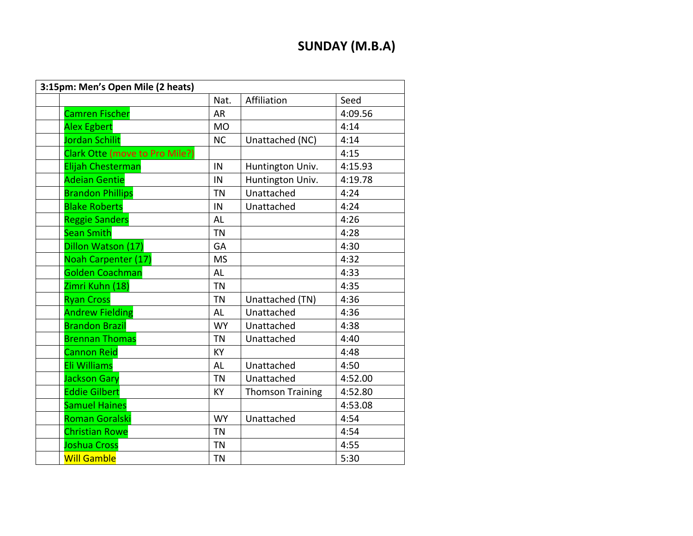## **SUNDAY (M.B.A)**

| 3:15pm: Men's Open Mile (2 heats) |           |                         |         |  |  |  |  |
|-----------------------------------|-----------|-------------------------|---------|--|--|--|--|
|                                   | Nat.      | Affiliation             | Seed    |  |  |  |  |
| <b>Camren Fischer</b>             | <b>AR</b> |                         | 4:09.56 |  |  |  |  |
| <b>Alex Egbert</b>                | <b>MO</b> |                         | 4:14    |  |  |  |  |
| <b>Jordan Schilit</b>             | <b>NC</b> | Unattached (NC)         | 4:14    |  |  |  |  |
| Clark Otte (move to Pro Mile?)    |           |                         | 4:15    |  |  |  |  |
| Elijah Chesterman                 | IN        | Huntington Univ.        | 4:15.93 |  |  |  |  |
| <b>Adeian Gentie</b>              | IN        | Huntington Univ.        | 4:19.78 |  |  |  |  |
| <b>Brandon Phillips</b>           | <b>TN</b> | Unattached              | 4:24    |  |  |  |  |
| <b>Blake Roberts</b>              | IN        | Unattached              | 4:24    |  |  |  |  |
| <b>Reggie Sanders</b>             | <b>AL</b> |                         | 4:26    |  |  |  |  |
| <b>Sean Smith</b>                 | <b>TN</b> |                         | 4:28    |  |  |  |  |
| Dillon Watson (17)                | GA        |                         | 4:30    |  |  |  |  |
| <b>Noah Carpenter (17)</b>        | <b>MS</b> |                         | 4:32    |  |  |  |  |
| <b>Golden Coachman</b>            | AL        |                         | 4:33    |  |  |  |  |
| Zimri Kuhn (18)                   | <b>TN</b> |                         | 4:35    |  |  |  |  |
| <b>Ryan Cross</b>                 | <b>TN</b> | Unattached (TN)         | 4:36    |  |  |  |  |
| <b>Andrew Fielding</b>            | AL        | Unattached              | 4:36    |  |  |  |  |
| <b>Brandon Brazil</b>             | <b>WY</b> | Unattached              | 4:38    |  |  |  |  |
| <b>Brennan Thomas</b>             | <b>TN</b> | Unattached              | 4:40    |  |  |  |  |
| <b>Cannon Reid</b>                | <b>KY</b> |                         | 4:48    |  |  |  |  |
| Eli Williams                      | <b>AL</b> | Unattached              | 4:50    |  |  |  |  |
| <b>Jackson Gary</b>               | <b>TN</b> | Unattached              | 4:52.00 |  |  |  |  |
| <b>Eddie Gilbert</b>              | <b>KY</b> | <b>Thomson Training</b> | 4:52.80 |  |  |  |  |
| <b>Samuel Haines</b>              |           |                         | 4:53.08 |  |  |  |  |
| <b>Roman Goralski</b>             | <b>WY</b> | Unattached              | 4:54    |  |  |  |  |
| <b>Christian Rowe</b>             | <b>TN</b> |                         | 4:54    |  |  |  |  |
| <b>Joshua Cross</b>               | <b>TN</b> |                         | 4:55    |  |  |  |  |
| <b>Will Gamble</b>                | <b>TN</b> |                         | 5:30    |  |  |  |  |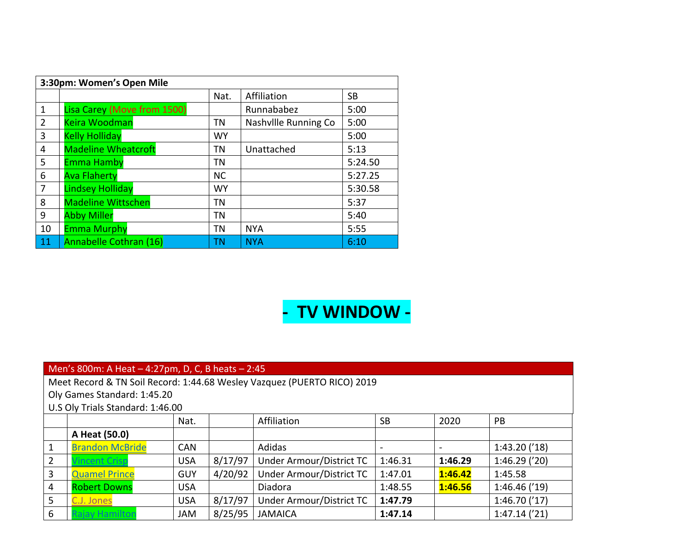| 3:30pm: Women's Open Mile |                             |           |                      |           |  |  |  |  |  |
|---------------------------|-----------------------------|-----------|----------------------|-----------|--|--|--|--|--|
|                           |                             | Nat.      | Affiliation          | <b>SB</b> |  |  |  |  |  |
| $\mathbf{1}$              | Lisa Carey (Move from 1500) |           | Runnababez           | 5:00      |  |  |  |  |  |
| 2                         | <b>Keira Woodman</b>        | TN        | Nashville Running Co | 5:00      |  |  |  |  |  |
| 3                         | <b>Kelly Holliday</b>       | <b>WY</b> |                      | 5:00      |  |  |  |  |  |
| 4                         | <b>Madeline Wheatcroft</b>  | TN        | Unattached           | 5:13      |  |  |  |  |  |
| 5                         | <b>Emma Hamby</b>           | TN        |                      | 5:24.50   |  |  |  |  |  |
| 6                         | <b>Ava Flaherty</b>         | <b>NC</b> |                      | 5:27.25   |  |  |  |  |  |
| 7                         | <b>Lindsey Holliday</b>     | <b>WY</b> |                      | 5:30.58   |  |  |  |  |  |
| 8                         | <b>Madeline Wittschen</b>   | TN        |                      | 5:37      |  |  |  |  |  |
| 9                         | <b>Abby Miller</b>          | <b>TN</b> |                      | 5:40      |  |  |  |  |  |
| 10                        | <b>Emma Murphy</b>          | TN        | <b>NYA</b>           | 5:55      |  |  |  |  |  |
| 11                        | Annabelle Cothran (16)      | <b>TN</b> | <b>NYA</b>           | 6:10      |  |  |  |  |  |

# **- TV WINDOW -**

|                 | Men's 800m: A Heat $-4:27$ pm, D, C, B heats $-2:45$                                       |            |         |                          |         |         |              |  |  |  |  |  |
|-----------------|--------------------------------------------------------------------------------------------|------------|---------|--------------------------|---------|---------|--------------|--|--|--|--|--|
|                 | Meet Record & TN Soil Record: 1:44.68 Wesley Vazquez (PUERTO RICO) 2019                    |            |         |                          |         |         |              |  |  |  |  |  |
|                 | Oly Games Standard: 1:45.20                                                                |            |         |                          |         |         |              |  |  |  |  |  |
|                 | U.S Oly Trials Standard: 1:46.00                                                           |            |         |                          |         |         |              |  |  |  |  |  |
|                 | Affiliation<br><b>SB</b><br>2020<br>PB<br>Nat.                                             |            |         |                          |         |         |              |  |  |  |  |  |
|                 | A Heat (50.0)                                                                              |            |         |                          |         |         |              |  |  |  |  |  |
| $\mathbf{1}$    | <b>Brandon McBride</b>                                                                     | <b>CAN</b> |         | Adidas                   |         |         | 1:43.20('18) |  |  |  |  |  |
| $\overline{2}$  | <b>Vincent Crisp</b>                                                                       | <b>USA</b> | 8/17/97 | Under Armour/District TC | 1:46.31 | 1:46.29 | 1:46.29(20)  |  |  |  |  |  |
| $\overline{3}$  | <b>Quamel Prince</b>                                                                       | <b>GUY</b> | 4/20/92 | Under Armour/District TC | 1:47.01 | 1:46.42 | 1:45.58      |  |  |  |  |  |
| $\overline{4}$  | <b>Robert Downs</b>                                                                        | <b>USA</b> |         | Diadora                  | 1:48.55 | 1:46.56 | 1:46.46('19) |  |  |  |  |  |
| 5               | 8/17/97<br>1:46.70('17)<br>Under Armour/District TC<br>1:47.79<br>C.J. Jones<br><b>USA</b> |            |         |                          |         |         |              |  |  |  |  |  |
| $6\phantom{1}6$ | ajay Hamilton                                                                              | <b>JAM</b> | 8/25/95 | <b>JAMAICA</b>           | 1:47.14 |         | 1:47.14('21) |  |  |  |  |  |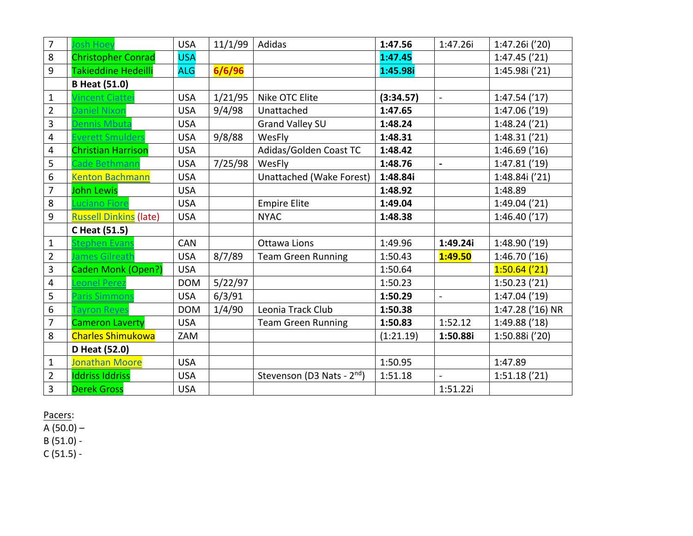| $\overline{7}$          | osh Hoev                      | <b>USA</b> | 11/1/99 | Adidas                                 | 1:47.56   | 1:47.26i       | 1:47.26i ('20)   |
|-------------------------|-------------------------------|------------|---------|----------------------------------------|-----------|----------------|------------------|
| 8                       | <b>Christopher Conrad</b>     | <b>USA</b> |         |                                        | 1:47.45   |                | 1:47.45('21)     |
| 9                       | Takieddine Hedeilli           | <b>ALG</b> | 6/6/96  |                                        | 1:45.98i  |                | 1:45.98i ('21)   |
|                         | <b>B Heat (51.0)</b>          |            |         |                                        |           |                |                  |
| $\mathbf{1}$            | incent Ciattei                | <b>USA</b> | 1/21/95 | Nike OTC Elite                         | (3:34.57) | $\mathbf{r}$   | 1:47.54('17)     |
| $\overline{2}$          | Daniel Nixon                  | <b>USA</b> | 9/4/98  | Unattached                             | 1:47.65   |                | 1:47.06('19)     |
| 3                       | Dennis Mbuta                  | <b>USA</b> |         | <b>Grand Valley SU</b>                 | 1:48.24   |                | $1:48.24$ ('21)  |
| 4                       | Everett Smulders              | <b>USA</b> | 9/8/88  | WesFly                                 | 1:48.31   |                | 1:48.31('21)     |
| $\overline{\mathbf{4}}$ | <b>Christian Harrison</b>     | <b>USA</b> |         | Adidas/Golden Coast TC                 | 1:48.42   |                | $1:46.69$ ('16)  |
| 5                       | Cade Bethmanr                 | <b>USA</b> | 7/25/98 | WesFly                                 | 1:48.76   | $\blacksquare$ | 1:47.81('19)     |
| 6                       | <b>Kenton Bachmann</b>        | <b>USA</b> |         | Unattached (Wake Forest)               | 1:48.84i  |                | 1:48.84i ('21)   |
| $\overline{7}$          | <b>John Lewis</b>             | <b>USA</b> |         |                                        | 1:48.92   |                | 1:48.89          |
| 8                       | uciano Fiore                  | <b>USA</b> |         | <b>Empire Elite</b>                    | 1:49.04   |                | 1:49.04('21)     |
| 9                       | <b>Russell Dinkins (late)</b> | <b>USA</b> |         | <b>NYAC</b>                            | 1:48.38   |                | 1:46.40('17)     |
|                         | C Heat (51.5)                 |            |         |                                        |           |                |                  |
| $\mathbf{1}$            | tephen Evans                  | <b>CAN</b> |         | Ottawa Lions                           | 1:49.96   | 1:49.24i       | 1:48.90 ('19)    |
| $\overline{2}$          | lames Gilreath                | <b>USA</b> | 8/7/89  | <b>Team Green Running</b>              | 1:50.43   | 1:49.50        | 1:46.70('16)     |
| 3                       | Caden Monk (Open?)            | <b>USA</b> |         |                                        | 1:50.64   |                | $1:50.64$ ('21)  |
| 4                       | eonel Perez                   | <b>DOM</b> | 5/22/97 |                                        | 1:50.23   |                | $1:50.23$ ('21)  |
| 5                       | Paris Simmons                 | <b>USA</b> | 6/3/91  |                                        | 1:50.29   | $\mathbf{r}$   | $1:47.04$ ('19)  |
| 6                       | ayron Reyes                   | <b>DOM</b> | 1/4/90  | Leonia Track Club                      | 1:50.38   |                | 1:47.28 ('16) NR |
| $\overline{7}$          | <b>Cameron Laverty</b>        | <b>USA</b> |         | <b>Team Green Running</b>              | 1:50.83   | 1:52.12        | 1:49.88 ('18)    |
| 8                       | <b>Charles Shimukowa</b>      | ZAM        |         |                                        | (1:21.19) | 1:50.88i       | 1:50.88i ('20)   |
|                         | D Heat (52.0)                 |            |         |                                        |           |                |                  |
| $\mathbf{1}$            | Jonathan Moore                | <b>USA</b> |         |                                        | 1:50.95   |                | 1:47.89          |
| $\overline{2}$          | <b>Iddriss Iddriss</b>        | <b>USA</b> |         | Stevenson (D3 Nats - 2 <sup>nd</sup> ) | 1:51.18   | $\overline{a}$ | 1:51.18('21)     |
| 3                       | <b>Derek Gross</b>            | <b>USA</b> |         |                                        |           | 1:51.22i       |                  |

A (50.0) –

 $B(51.0) -$ 

C (51.5) -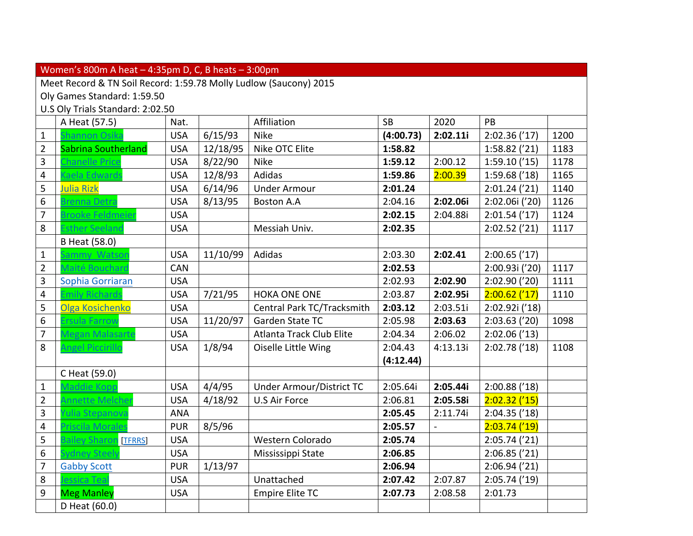|                  | Women's 800m A heat $-4:35$ pm D, C, B heats $-3:00$ pm           |            |          |                            |           |          |                 |      |  |  |  |
|------------------|-------------------------------------------------------------------|------------|----------|----------------------------|-----------|----------|-----------------|------|--|--|--|
|                  | Meet Record & TN Soil Record: 1:59.78 Molly Ludlow (Saucony) 2015 |            |          |                            |           |          |                 |      |  |  |  |
|                  | Oly Games Standard: 1:59.50                                       |            |          |                            |           |          |                 |      |  |  |  |
|                  | U.S Oly Trials Standard: 2:02.50                                  |            |          |                            |           |          |                 |      |  |  |  |
|                  | A Heat (57.5)                                                     | Nat.       |          | Affiliation                | <b>SB</b> | 2020     | PB              |      |  |  |  |
| $\mathbf 1$      | Shannon Osika                                                     | <b>USA</b> | 6/15/93  | <b>Nike</b>                | (4:00.73) | 2:02.11i | 2:02.36('17)    | 1200 |  |  |  |
| $\overline{2}$   | Sabrina Southerland                                               | <b>USA</b> | 12/18/95 | Nike OTC Elite             | 1:58.82   |          | 1:58.82('21)    | 1183 |  |  |  |
| 3                | <b>Chanelle Price</b>                                             | <b>USA</b> | 8/22/90  | <b>Nike</b>                | 1:59.12   | 2:00.12  | 1:59.10('15)    | 1178 |  |  |  |
| $\overline{4}$   | Gaela Edward:                                                     | <b>USA</b> | 12/8/93  | Adidas                     | 1:59.86   | 2:00.39  | 1:59.68('18)    | 1165 |  |  |  |
| 5                | Julia Rizk                                                        | <b>USA</b> | 6/14/96  | <b>Under Armour</b>        | 2:01.24   |          | $2:01.24$ ('21) | 1140 |  |  |  |
| $\boldsymbol{6}$ | Brenna Detra                                                      | <b>USA</b> | 8/13/95  | <b>Boston A.A</b>          | 2:04.16   | 2:02.06i | 2:02.06i ('20)  | 1126 |  |  |  |
| $\overline{7}$   | Brooke Feldmeier                                                  | <b>USA</b> |          |                            | 2:02.15   | 2:04.88i | 2:01.54('17)    | 1124 |  |  |  |
| 8                | <b>Esther Seeland</b>                                             | <b>USA</b> |          | Messiah Univ.              | 2:02.35   |          | 2:02.52('21)    | 1117 |  |  |  |
|                  | B Heat (58.0)                                                     |            |          |                            |           |          |                 |      |  |  |  |
| $\mathbf 1$      | Sammy Watsor                                                      | <b>USA</b> | 11/10/99 | Adidas                     | 2:03.30   | 2:02.41  | $2:00.65$ ('17) |      |  |  |  |
| $\overline{2}$   | Maité Bouchard                                                    | <b>CAN</b> |          |                            | 2:02.53   |          | 2:00.93i ('20)  | 1117 |  |  |  |
| 3                | Sophia Gorriaran                                                  | <b>USA</b> |          |                            | 2:02.93   | 2:02.90  | 2:02.90('20)    | 1111 |  |  |  |
| $\overline{4}$   | <b>Emily Richard</b>                                              | <b>USA</b> | 7/21/95  | <b>HOKA ONE ONE</b>        | 2:03.87   | 2:02.95i | $2:00.62$ ('17) | 1110 |  |  |  |
| 5                | Olga Kosichenko                                                   | <b>USA</b> |          | Central Park TC/Tracksmith | 2:03.12   | 2:03.51i | 2:02.92i ('18)  |      |  |  |  |
| $6\,$            | Ersula Farrow                                                     | <b>USA</b> | 11/20/97 | Garden State TC            | 2:05.98   | 2:03.63  | 2:03.63('20)    | 1098 |  |  |  |
| $\overline{7}$   | Megan Malasart                                                    | <b>USA</b> |          | Atlanta Track Club Elite   | 2:04.34   | 2:06.02  | 2:02.06('13)    |      |  |  |  |
| 8                | <b>Angel Piccirillo</b>                                           | <b>USA</b> | 1/8/94   | Oiselle Little Wing        | 2:04.43   | 4:13.13i | 2:02.78('18)    | 1108 |  |  |  |
|                  |                                                                   |            |          |                            | (4:12.44) |          |                 |      |  |  |  |
|                  | C Heat (59.0)                                                     |            |          |                            |           |          |                 |      |  |  |  |
| $\mathbf 1$      | Maddie Kopp                                                       | <b>USA</b> | 4/4/95   | Under Armour/District TC   | 2:05.64i  | 2:05.44i | $2:00.88$ ('18) |      |  |  |  |
| $\overline{2}$   | Annette Melcher                                                   | <b>USA</b> | 4/18/92  | U.S Air Force              | 2:06.81   | 2:05.58i | $2:02.32$ ('15) |      |  |  |  |
| 3                | <b>Yulia Stepanova</b>                                            | <b>ANA</b> |          |                            | 2:05.45   | 2:11.74i | 2:04.35('18)    |      |  |  |  |
| $\overline{4}$   | Priscila Morales                                                  | <b>PUR</b> | 8/5/96   |                            | 2:05.57   |          | $2:03.74$ ('19) |      |  |  |  |
| 5                | <b>Bailey Sharon [TFRRS]</b>                                      | <b>USA</b> |          | Western Colorado           | 2:05.74   |          | 2:05.74('21)    |      |  |  |  |
| $\boldsymbol{6}$ | Sydney Steely                                                     | <b>USA</b> |          | Mississippi State          | 2:06.85   |          | 2:06.85('21)    |      |  |  |  |
| $\overline{7}$   | <b>Gabby Scott</b>                                                | <b>PUR</b> | 1/13/97  |                            | 2:06.94   |          | 2:06.94('21)    |      |  |  |  |
| 8                | essica Teal                                                       | <b>USA</b> |          | Unattached                 | 2:07.42   | 2:07.87  | 2:05.74('19)    |      |  |  |  |
| 9                | <b>Meg Manley</b>                                                 | <b>USA</b> |          | <b>Empire Elite TC</b>     | 2:07.73   | 2:08.58  | 2:01.73         |      |  |  |  |
|                  | D Heat (60.0)                                                     |            |          |                            |           |          |                 |      |  |  |  |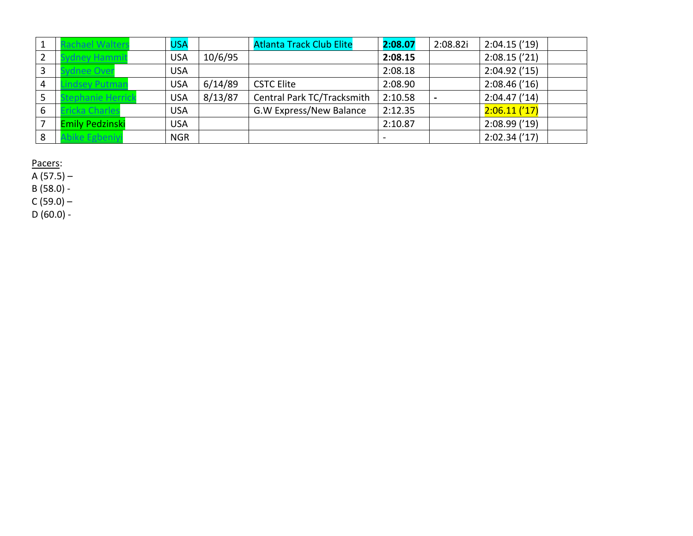|                | chael Walter           | <b>USA</b> |         | <b>Atlanta Track Club Elite</b> | 2:08.07 | 2:08.82i | 2:04.15('19) |
|----------------|------------------------|------------|---------|---------------------------------|---------|----------|--------------|
| $\overline{2}$ | nev Hammi              | <b>USA</b> | 10/6/95 |                                 | 2:08.15 |          | 2:08.15('21) |
| 3              | dnee Over              | <b>USA</b> |         |                                 | 2:08.18 |          | 2:04.92('15) |
| $\overline{4}$ | dsev Putmar            | <b>USA</b> | 6/14/89 | <b>CSTC Elite</b>               | 2:08.90 |          | 2:08.46('16) |
| 5              | ephanie Herric         | <b>USA</b> | 8/13/87 | Central Park TC/Tracksmith      | 2:10.58 |          | 2:04.47('14) |
| 6              | <b>ricka Charles</b>   | <b>USA</b> |         | G.W Express/New Balance         | 2:12.35 |          | 2:06.11('17) |
|                | <b>Emily Pedzinski</b> | <b>USA</b> |         |                                 | 2:10.87 |          | 2:08.99('19) |
| 8              | ike Egbeniy            | <b>NGR</b> |         |                                 |         |          | 2:02.34('17) |

A (57.5) –

B (58.0) -

 $C (59.0) -$ 

 $D(60.0) -$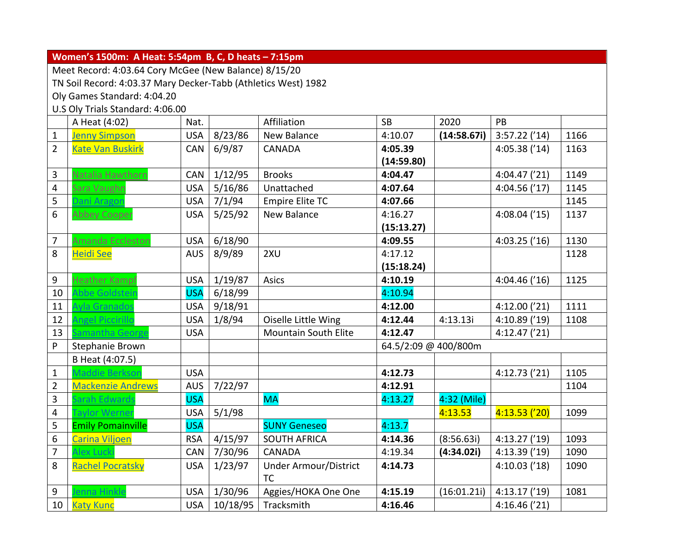| Women's 1500m: A Heat: 5:54pm B, C, D heats - 7:15pm |                                                                                                                                                                                                                     |                                                                                                                                    |                                                                           |                                                                                                                                                                                                                                                                    |                                                    |                                                                                |                                                                                               |  |  |  |  |
|------------------------------------------------------|---------------------------------------------------------------------------------------------------------------------------------------------------------------------------------------------------------------------|------------------------------------------------------------------------------------------------------------------------------------|---------------------------------------------------------------------------|--------------------------------------------------------------------------------------------------------------------------------------------------------------------------------------------------------------------------------------------------------------------|----------------------------------------------------|--------------------------------------------------------------------------------|-----------------------------------------------------------------------------------------------|--|--|--|--|
|                                                      |                                                                                                                                                                                                                     |                                                                                                                                    |                                                                           |                                                                                                                                                                                                                                                                    |                                                    |                                                                                |                                                                                               |  |  |  |  |
|                                                      |                                                                                                                                                                                                                     |                                                                                                                                    |                                                                           |                                                                                                                                                                                                                                                                    |                                                    |                                                                                |                                                                                               |  |  |  |  |
|                                                      |                                                                                                                                                                                                                     |                                                                                                                                    |                                                                           |                                                                                                                                                                                                                                                                    |                                                    |                                                                                |                                                                                               |  |  |  |  |
|                                                      |                                                                                                                                                                                                                     |                                                                                                                                    |                                                                           |                                                                                                                                                                                                                                                                    |                                                    |                                                                                |                                                                                               |  |  |  |  |
| A Heat (4:02)                                        | Nat.                                                                                                                                                                                                                |                                                                                                                                    |                                                                           | <b>SB</b>                                                                                                                                                                                                                                                          | 2020                                               | PB                                                                             |                                                                                               |  |  |  |  |
| <b>Jenny Simpson</b>                                 | <b>USA</b>                                                                                                                                                                                                          | 8/23/86                                                                                                                            | New Balance                                                               | 4:10.07                                                                                                                                                                                                                                                            | (14:58.67i)                                        | $3:57.22$ ('14)                                                                | 1166                                                                                          |  |  |  |  |
| <b>Kate Van Buskirk</b>                              | CAN                                                                                                                                                                                                                 | 6/9/87                                                                                                                             | CANADA                                                                    | 4:05.39                                                                                                                                                                                                                                                            |                                                    | 4:05.38('14)                                                                   | 1163                                                                                          |  |  |  |  |
|                                                      |                                                                                                                                                                                                                     |                                                                                                                                    |                                                                           | (14:59.80)                                                                                                                                                                                                                                                         |                                                    |                                                                                |                                                                                               |  |  |  |  |
| Natalia Hawthorn                                     | CAN                                                                                                                                                                                                                 | 1/12/95                                                                                                                            | <b>Brooks</b>                                                             | 4:04.47                                                                                                                                                                                                                                                            |                                                    | 4:04.47('21)                                                                   | 1149                                                                                          |  |  |  |  |
| Sara Vaughn                                          | <b>USA</b>                                                                                                                                                                                                          | 5/16/86                                                                                                                            | Unattached                                                                | 4:07.64                                                                                                                                                                                                                                                            |                                                    | 4:04.56('17)                                                                   | 1145                                                                                          |  |  |  |  |
| <b>Jani Aragon</b>                                   | <b>USA</b>                                                                                                                                                                                                          | 7/1/94                                                                                                                             | <b>Empire Elite TC</b>                                                    | 4:07.66                                                                                                                                                                                                                                                            |                                                    |                                                                                | 1145                                                                                          |  |  |  |  |
| <b>Abbey Cooper</b>                                  | <b>USA</b>                                                                                                                                                                                                          | 5/25/92                                                                                                                            | <b>New Balance</b>                                                        | 4:16.27                                                                                                                                                                                                                                                            |                                                    | $4:08.04$ ('15)                                                                | 1137                                                                                          |  |  |  |  |
|                                                      |                                                                                                                                                                                                                     |                                                                                                                                    |                                                                           | (15:13.27)                                                                                                                                                                                                                                                         |                                                    |                                                                                |                                                                                               |  |  |  |  |
| <b>Amanda Eccleston</b>                              | <b>USA</b>                                                                                                                                                                                                          | 6/18/90                                                                                                                            |                                                                           | 4:09.55                                                                                                                                                                                                                                                            |                                                    | $4:03.25$ ('16)                                                                | 1130                                                                                          |  |  |  |  |
| <b>Heidi See</b>                                     | <b>AUS</b>                                                                                                                                                                                                          | 8/9/89                                                                                                                             | 2XU                                                                       | 4:17.12                                                                                                                                                                                                                                                            |                                                    |                                                                                | 1128                                                                                          |  |  |  |  |
|                                                      |                                                                                                                                                                                                                     |                                                                                                                                    |                                                                           | (15:18.24)                                                                                                                                                                                                                                                         |                                                    |                                                                                |                                                                                               |  |  |  |  |
| <b>Heather Kampf</b>                                 | <b>USA</b>                                                                                                                                                                                                          | 1/19/87                                                                                                                            | Asics                                                                     | 4:10.19                                                                                                                                                                                                                                                            |                                                    | 4:04.46('16)                                                                   | 1125                                                                                          |  |  |  |  |
| Abbe Goldsteir                                       | <b>USA</b>                                                                                                                                                                                                          | 6/18/99                                                                                                                            |                                                                           | 4:10.94                                                                                                                                                                                                                                                            |                                                    |                                                                                |                                                                                               |  |  |  |  |
| Ayla Granados                                        | <b>USA</b>                                                                                                                                                                                                          | 9/18/91                                                                                                                            |                                                                           | 4:12.00                                                                                                                                                                                                                                                            |                                                    | 4:12.00('21)                                                                   | 1111                                                                                          |  |  |  |  |
| <b>Angel Piccirillo</b>                              | <b>USA</b>                                                                                                                                                                                                          | 1/8/94                                                                                                                             | Oiselle Little Wing                                                       | 4:12.44                                                                                                                                                                                                                                                            | 4:13.13i                                           | 4:10.89 ('19)                                                                  | 1108                                                                                          |  |  |  |  |
| amantha George                                       | <b>USA</b>                                                                                                                                                                                                          |                                                                                                                                    | <b>Mountain South Elite</b>                                               | 4:12.47                                                                                                                                                                                                                                                            |                                                    | 4:12.47('21)                                                                   |                                                                                               |  |  |  |  |
|                                                      |                                                                                                                                                                                                                     |                                                                                                                                    |                                                                           |                                                                                                                                                                                                                                                                    |                                                    |                                                                                |                                                                                               |  |  |  |  |
|                                                      |                                                                                                                                                                                                                     |                                                                                                                                    |                                                                           |                                                                                                                                                                                                                                                                    |                                                    |                                                                                |                                                                                               |  |  |  |  |
| Maddie Berkson                                       | <b>USA</b>                                                                                                                                                                                                          |                                                                                                                                    |                                                                           | 4:12.73                                                                                                                                                                                                                                                            |                                                    | 4:12.73('21)                                                                   | 1105                                                                                          |  |  |  |  |
|                                                      |                                                                                                                                                                                                                     |                                                                                                                                    |                                                                           | 4:12.91                                                                                                                                                                                                                                                            |                                                    |                                                                                | 1104                                                                                          |  |  |  |  |
| arah Edwards                                         | <b>USA</b>                                                                                                                                                                                                          |                                                                                                                                    | <b>MA</b>                                                                 | 4:13.27                                                                                                                                                                                                                                                            |                                                    |                                                                                |                                                                                               |  |  |  |  |
|                                                      |                                                                                                                                                                                                                     |                                                                                                                                    |                                                                           |                                                                                                                                                                                                                                                                    | 4:13.53                                            |                                                                                | 1099                                                                                          |  |  |  |  |
|                                                      |                                                                                                                                                                                                                     |                                                                                                                                    |                                                                           |                                                                                                                                                                                                                                                                    |                                                    |                                                                                |                                                                                               |  |  |  |  |
|                                                      |                                                                                                                                                                                                                     |                                                                                                                                    |                                                                           |                                                                                                                                                                                                                                                                    |                                                    |                                                                                | 1093                                                                                          |  |  |  |  |
|                                                      |                                                                                                                                                                                                                     |                                                                                                                                    |                                                                           |                                                                                                                                                                                                                                                                    |                                                    |                                                                                | 1090                                                                                          |  |  |  |  |
|                                                      |                                                                                                                                                                                                                     |                                                                                                                                    |                                                                           |                                                                                                                                                                                                                                                                    |                                                    |                                                                                | 1090                                                                                          |  |  |  |  |
|                                                      |                                                                                                                                                                                                                     |                                                                                                                                    |                                                                           |                                                                                                                                                                                                                                                                    |                                                    |                                                                                |                                                                                               |  |  |  |  |
|                                                      |                                                                                                                                                                                                                     |                                                                                                                                    |                                                                           |                                                                                                                                                                                                                                                                    |                                                    |                                                                                | 1081                                                                                          |  |  |  |  |
| <b>Katy Kunc</b>                                     | <b>USA</b>                                                                                                                                                                                                          |                                                                                                                                    | Tracksmith                                                                | 4:16.46                                                                                                                                                                                                                                                            |                                                    |                                                                                |                                                                                               |  |  |  |  |
|                                                      | Oly Games Standard: 4:04.20<br>Stephanie Brown<br>B Heat (4:07.5)<br><b>Mackenzie Andrews</b><br>aylor Werner<br><b>Emily Pomainville</b><br>Carina Viljoen<br>Alex Lucki<br><b>Rachel Pocratsky</b><br>enna Hinkle | U.S Oly Trials Standard: 4:06.00<br><b>AUS</b><br><b>USA</b><br><b>USA</b><br><b>RSA</b><br><b>CAN</b><br><b>USA</b><br><b>USA</b> | 7/22/97<br>5/1/98<br>4/15/97<br>7/30/96<br>1/23/97<br>1/30/96<br>10/18/95 | Meet Record: 4:03.64 Cory McGee (New Balance) 8/15/20<br>TN Soil Record: 4:03.37 Mary Decker-Tabb (Athletics West) 1982<br>Affiliation<br><b>SUNY Geneseo</b><br><b>SOUTH AFRICA</b><br>CANADA<br><b>Under Armour/District</b><br><b>TC</b><br>Aggies/HOKA One One | 4:13.7<br>4:14.36<br>4:19.34<br>4:14.73<br>4:15.19 | 64.5/2:09 @ 400/800m<br>4:32 (Mile)<br>(8:56.63i)<br>(4:34.02i)<br>(16:01.21i) | 4:13.53('20)<br> 4:13.27(19) <br>4:13.39 ('19)<br>4:10.03('18)<br>4:13.17('19)<br>4:16.46(21) |  |  |  |  |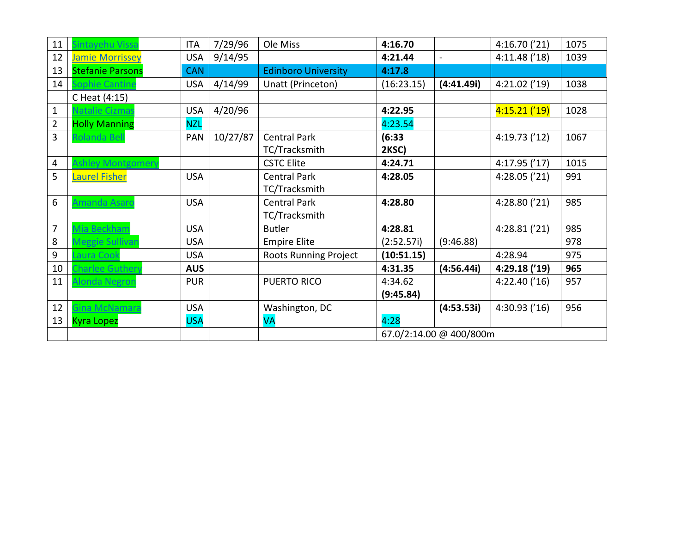| 11             | Sintavehu Vissa         | <b>ITA</b> | 7/29/96  | Ole Miss                   | 4:16.70    |                         | 4:16.70('21)    | 1075 |
|----------------|-------------------------|------------|----------|----------------------------|------------|-------------------------|-----------------|------|
| 12             | <b>Jamie Morrissey</b>  | <b>USA</b> | 9/14/95  |                            | 4:21.44    | $\blacksquare$          | 4:11.48('18)    | 1039 |
| 13             | <b>Stefanie Parsons</b> | <b>CAN</b> |          | <b>Edinboro University</b> | 4:17.8     |                         |                 |      |
| 14             | ophie Cantine           | <b>USA</b> | 4/14/99  | Unatt (Princeton)          | (16:23.15) | (4:41.49i)              | 4:21.02('19)    | 1038 |
|                | C Heat (4:15)           |            |          |                            |            |                         |                 |      |
| $\mathbf{1}$   | <b>Vatalie Cizmas</b>   | <b>USA</b> | 4/20/96  |                            | 4:22.95    |                         | $4:15.21$ ('19) | 1028 |
| $\overline{2}$ | <b>Holly Manning</b>    | <b>NZL</b> |          |                            | 4:23.54    |                         |                 |      |
| 3              | Rolanda Bell            | <b>PAN</b> | 10/27/87 | <b>Central Park</b>        | (6:33)     |                         | 4:19.73('12)    | 1067 |
|                |                         |            |          | TC/Tracksmith              | 2KSC)      |                         |                 |      |
| 4              | shley Montgomery        |            |          | <b>CSTC Elite</b>          | 4:24.71    |                         | 4:17.95('17)    | 1015 |
| 5              | <b>Laurel Fisher</b>    | <b>USA</b> |          | <b>Central Park</b>        | 4:28.05    |                         | 4:28.05('21)    | 991  |
|                |                         |            |          | TC/Tracksmith              |            |                         |                 |      |
| 6              | Amanda Asarc            | <b>USA</b> |          | <b>Central Park</b>        | 4:28.80    |                         | 4:28.80 ('21)   | 985  |
|                |                         |            |          | TC/Tracksmith              |            |                         |                 |      |
| 7              | Viia Beckham            | <b>USA</b> |          | <b>Butler</b>              | 4:28.81    |                         | 4:28.81('21)    | 985  |
| 8              | Aeggie Sullivan         | <b>USA</b> |          | <b>Empire Elite</b>        | (2:52.57i) | (9:46.88)               |                 | 978  |
| 9              | aura Cool               | <b>USA</b> |          | Roots Running Project      | (10:51.15) |                         | 4:28.94         | 975  |
| 10             | Charlee Guthery         | <b>AUS</b> |          |                            | 4:31.35    | (4:56.44i)              | 4:29.18 ('19)   | 965  |
| 11             | Alonda Negron           | <b>PUR</b> |          | <b>PUERTO RICO</b>         | 4:34.62    |                         | 4:22.40('16)    | 957  |
|                |                         |            |          |                            | (9:45.84)  |                         |                 |      |
| 12             | Gina McNamara           | <b>USA</b> |          | Washington, DC             |            | (4:53.53i)              | 4:30.93('16)    | 956  |
| 13             | <b>Kyra Lopez</b>       | <b>USA</b> |          | <b>VA</b>                  | 4:28       |                         |                 |      |
|                |                         |            |          |                            |            | 67.0/2:14.00 @ 400/800m |                 |      |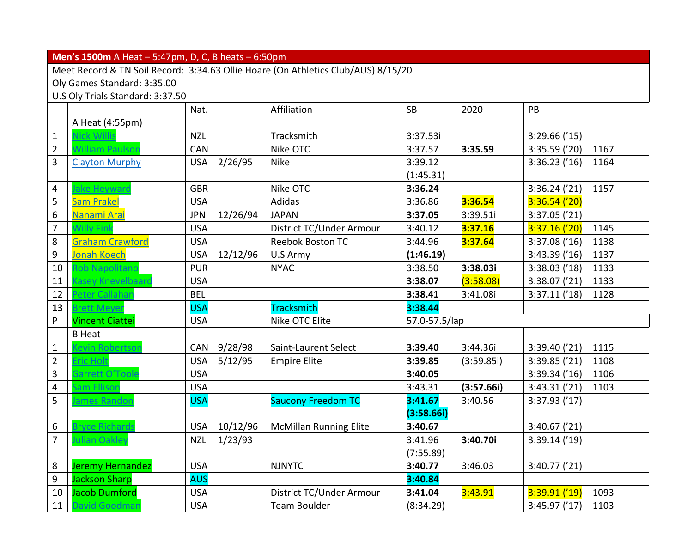### **Men's 1500m** A Heat – 5:47pm, D, C, B heats – 6:50pm

Meet Record & TN Soil Record: 3:34.63 Ollie Hoare (On Athletics Club/AUS) 8/15/20

Oly Games Standard: 3:35.00

U.S Oly Trials Standard: 3:37.50

|                         |                         | Nat.       |          | Affiliation                   | <b>SB</b>     | 2020       | PB              |      |
|-------------------------|-------------------------|------------|----------|-------------------------------|---------------|------------|-----------------|------|
|                         | A Heat (4:55pm)         |            |          |                               |               |            |                 |      |
| $\mathbf{1}$            | Nick Willis             | <b>NZL</b> |          | Tracksmith                    | 3:37.53i      |            | 3:29.66('15)    |      |
| $\overline{2}$          | William Paulsor         | <b>CAN</b> |          | Nike OTC                      | 3:37.57       | 3:35.59    | 3:35.59('20)    | 1167 |
| 3                       | <b>Clayton Murphy</b>   | <b>USA</b> | 2/26/95  | <b>Nike</b>                   | 3:39.12       |            | $3:36.23$ ('16) | 1164 |
|                         |                         |            |          |                               | (1:45.31)     |            |                 |      |
| 4                       | Jake Heyward            | <b>GBR</b> |          | Nike OTC                      | 3:36.24       |            | $3:36.24$ ('21) | 1157 |
| 5                       | <b>Sam Prakel</b>       | <b>USA</b> |          | Adidas                        | 3:36.86       | 3:36.54    | 3:36.54('20)    |      |
| 6                       | Nanami Arai             | <b>JPN</b> | 12/26/94 | <b>JAPAN</b>                  | 3:37.05       | 3:39.51i   | 3:37.05('21)    |      |
| $\overline{7}$          | <b>Willy Fink</b>       | <b>USA</b> |          | District TC/Under Armour      | 3:40.12       | 3:37.16    | 3:37.16('20)    | 1145 |
| 8                       | <b>Graham Crawford</b>  | <b>USA</b> |          | <b>Reebok Boston TC</b>       | 3:44.96       | 3:37.64    | 3:37.08('16)    | 1138 |
| 9                       | <b>Jonah Koech</b>      | <b>USA</b> | 12/12/96 | U.S Army                      | (1:46.19)     |            | 3:43.39('16)    | 1137 |
| 10                      | <b>Rob Napolitand</b>   | <b>PUR</b> |          | <b>NYAC</b>                   | 3:38.50       | 3:38.03i   | 3:38.03('18)    | 1133 |
| 11                      | Kasey Knevelbaard       | <b>USA</b> |          |                               | 3:38.07       | (3:58.08)  | 3:38.07('21)    | 1133 |
| 12                      | Peter Callahar          | <b>BEL</b> |          |                               | 3:38.41       | 3:41.08i   | 3:37.11('18)    | 1128 |
| 13                      | <b>Brett Meyer</b>      | <b>USA</b> |          | <b>Tracksmith</b>             | 3:38.44       |            |                 |      |
| P                       | <b>Vincent Ciattei</b>  | <b>USA</b> |          | Nike OTC Elite                | 57.0-57.5/lap |            |                 |      |
|                         | <b>B</b> Heat           |            |          |                               |               |            |                 |      |
| $\mathbf{1}$            | Kevin Robertson         | CAN        | 9/28/98  | Saint-Laurent Select          | 3:39.40       | 3:44.36i   | 3:39.40('21)    | 1115 |
| $\overline{2}$          | Eric Holt               | <b>USA</b> | 5/12/95  | <b>Empire Elite</b>           | 3:39.85       | (3:59.85)  | 3:39.85('21)    | 1108 |
| 3                       | Garrett O'Toole         | <b>USA</b> |          |                               | 3:40.05       |            | 3:39.34('16)    | 1106 |
| $\overline{\mathbf{4}}$ | Sam Ellison             | <b>USA</b> |          |                               | 3:43.31       | (3:57.66i) | 3:43.31('21)    | 1103 |
| 5                       | lames Randon            | <b>USA</b> |          | <b>Saucony Freedom TC</b>     | 3:41.67       | 3:40.56    | 3:37.93('17)    |      |
|                         |                         |            |          |                               | (3:58.66i)    |            |                 |      |
| 6                       | <b>Bryce Richards</b>   | <b>USA</b> | 10/12/96 | <b>McMillan Running Elite</b> | 3:40.67       |            | 3:40.67('21)    |      |
| $\overline{7}$          | Julian Oakley           | <b>NZL</b> | 1/23/93  |                               | 3:41.96       | 3:40.70i   | 3:39.14('19)    |      |
|                         |                         |            |          |                               | (7:55.89)     |            |                 |      |
| 8                       | <b>Jeremy Hernandez</b> | <b>USA</b> |          | <b>NJNYTC</b>                 | 3:40.77       | 3:46.03    | 3:40.77('21)    |      |
| 9                       | <b>Jackson Sharp</b>    | <b>AUS</b> |          |                               | 3:40.84       |            |                 |      |
| 10                      | <b>Jacob Dumford</b>    | <b>USA</b> |          | District TC/Under Armour      | 3:41.04       | 3:43.91    | 3:39.91 ('19)   | 1093 |
| 11                      | <b>David Goodmar</b>    | <b>USA</b> |          | <b>Team Boulder</b>           | (8:34.29)     |            | 3:45.97('17)    | 1103 |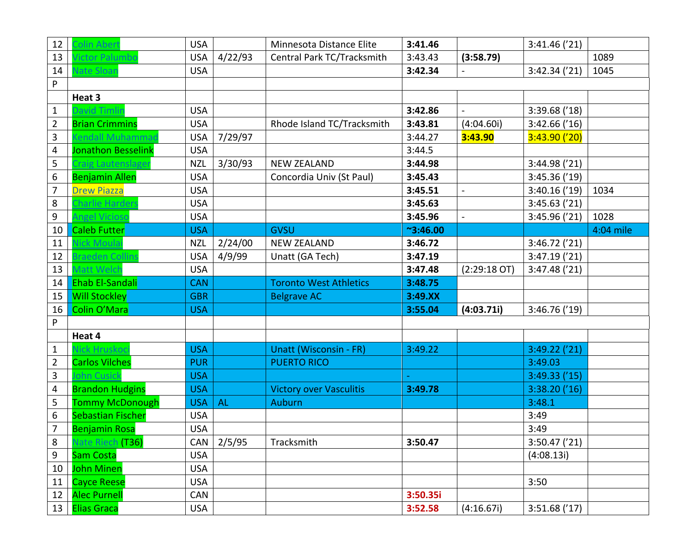| 12                      | colin Abert              | <b>USA</b> |           | Minnesota Distance Elite       | 3:41.46          |                | 3:41.46('21)    |           |
|-------------------------|--------------------------|------------|-----------|--------------------------------|------------------|----------------|-----------------|-----------|
| 13                      | <b>lictor Palumbo</b>    | <b>USA</b> | 4/22/93   | Central Park TC/Tracksmith     | 3:43.43          | (3:58.79)      |                 | 1089      |
| 14                      | <b>Jate Sloan</b>        | <b>USA</b> |           |                                | 3:42.34          |                | 3:42.34('21)    | 1045      |
| $\sf P$                 |                          |            |           |                                |                  |                |                 |           |
|                         | Heat 3                   |            |           |                                |                  |                |                 |           |
| $\mathbf{1}$            | <b>David Timlir</b>      | <b>USA</b> |           |                                | 3:42.86          |                | 3:39.68('18)    |           |
| $\overline{2}$          | <b>Brian Crimmins</b>    | <b>USA</b> |           | Rhode Island TC/Tracksmith     | 3:43.81          | (4:04.60i)     | 3:42.66('16)    |           |
| 3                       | endall Muhammad          | <b>USA</b> | 7/29/97   |                                | 3:44.27          | 3:43.90        | 3:43.90('20)    |           |
| $\overline{\mathbf{4}}$ | Jonathon Besselink       | <b>USA</b> |           |                                | 3:44.5           |                |                 |           |
| 5                       | raig Lautenslager        | <b>NZL</b> | 3/30/93   | <b>NEW ZEALAND</b>             | 3:44.98          |                | 3:44.98('21)    |           |
| 6                       | <b>Benjamin Allen</b>    | <b>USA</b> |           | Concordia Univ (St Paul)       | 3:45.43          |                | 3:45.36('19)    |           |
| $\overline{7}$          | <b>Drew Piazza</b>       | <b>USA</b> |           |                                | 3:45.51          | $\blacksquare$ | 3:40.16('19)    | 1034      |
| 8                       | Charlie Harders          | <b>USA</b> |           |                                | 3:45.63          |                | 3:45.63('21)    |           |
| 9                       | ngel Vicioso             | <b>USA</b> |           |                                | 3:45.96          | $\blacksquare$ | 3:45.96('21)    | 1028      |
| 10                      | <b>Caleb Futter</b>      | <b>USA</b> |           | <b>GVSU</b>                    | $^{\sim}3:46.00$ |                |                 | 4:04 mile |
| 11                      | <b>Jick Moulai</b>       | <b>NZL</b> | 2/24/00   | <b>NEW ZEALAND</b>             | 3:46.72          |                | 3:46.72('21)    |           |
| 12                      | Braeden Collins          | <b>USA</b> | 4/9/99    | Unatt (GA Tech)                | 3:47.19          |                | 3:47.19('21)    |           |
| 13                      | Matt Welch               | <b>USA</b> |           |                                | 3:47.48          | $(2:29:18$ OT) | 3:47.48('21)    |           |
| 14                      | Ehab El-Sandali          | <b>CAN</b> |           | <b>Toronto West Athletics</b>  | 3:48.75          |                |                 |           |
| 15                      | <b>Will Stockley</b>     | <b>GBR</b> |           | <b>Belgrave AC</b>             | 3:49.XX          |                |                 |           |
| 16                      | Colin O'Mara             | <b>USA</b> |           |                                | 3:55.04          | (4:03.71i)     | 3:46.76('19)    |           |
| P                       |                          |            |           |                                |                  |                |                 |           |
|                         | Heat 4                   |            |           |                                |                  |                |                 |           |
| $\mathbf{1}$            | ck Hruskoc               | <b>USA</b> |           | <b>Unatt (Wisconsin - FR)</b>  | 3:49.22          |                | $3:49.22$ ('21) |           |
| $\overline{2}$          | <b>Carlos Vilches</b>    | <b>PUR</b> |           | <b>PUERTO RICO</b>             |                  |                | 3:49.03         |           |
| 3                       | ohn Cusicl               | <b>USA</b> |           |                                |                  |                | 3:49.33('15)    |           |
| $\overline{\mathbf{4}}$ | <b>Brandon Hudgins</b>   | <b>USA</b> |           | <b>Victory over Vasculitis</b> | 3:49.78          |                | 3:38.20(716)    |           |
| 5                       | <b>Tommy McDonough</b>   | <b>USA</b> | <b>AL</b> | <b>Auburn</b>                  |                  |                | 3:48.1          |           |
| $\boldsymbol{6}$        | <b>Sebastian Fischer</b> | <b>USA</b> |           |                                |                  |                | 3:49            |           |
| $\overline{7}$          | <b>Benjamin Rosa</b>     | <b>USA</b> |           |                                |                  |                | 3:49            |           |
| $\,8\,$                 | Nate Riech (T36)         | CAN        | 2/5/95    | Tracksmith                     | 3:50.47          |                | 3:50.47('21)    |           |
| $\overline{9}$          | Sam Costa                | <b>USA</b> |           |                                |                  |                | (4:08.13i)      |           |
| 10                      | <b>John Minen</b>        | <b>USA</b> |           |                                |                  |                |                 |           |
| 11                      | <b>Cayce Reese</b>       | <b>USA</b> |           |                                |                  |                | 3:50            |           |
| 12                      | <b>Alec Purnell</b>      | CAN        |           |                                | 3:50.35i         |                |                 |           |
| 13                      | <b>Elias Graca</b>       | <b>USA</b> |           |                                | 3:52.58          | (4:16.67i)     | 3:51.68('17)    |           |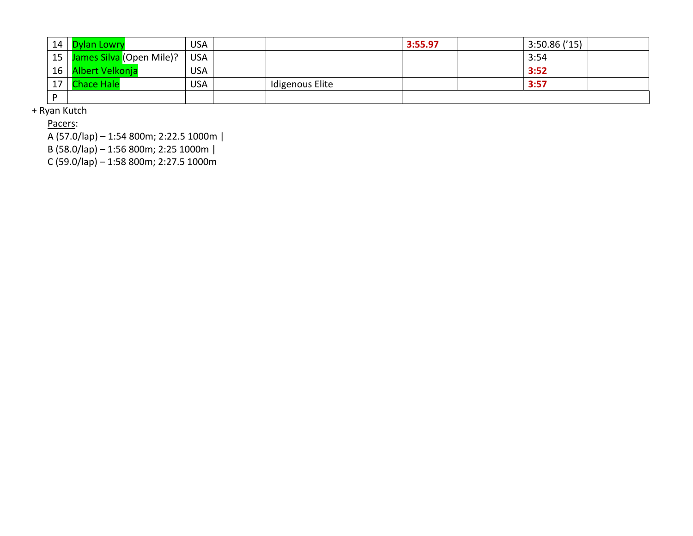| 14 | <b>Dylan Lowry</b>            | <b>USA</b> |                 | 3:55.97 | 3:50.86('15) |  |
|----|-------------------------------|------------|-----------------|---------|--------------|--|
|    | 15   James Silva (Open Mile)? | <b>USA</b> |                 |         | 3:54         |  |
| 16 | Albert Velkonja               | <b>USA</b> |                 |         | 3:52         |  |
| 17 | <b>Chace Hale</b>             | <b>USA</b> | Idigenous Elite |         | 3:57         |  |
| D  |                               |            |                 |         |              |  |

+ Ryan Kutch

Pacers:

A (57.0/lap) – 1:54 800m; 2:22.5 1000 m |

B (58.0/lap) – 1:56 800m; 2:25 1000m |

C (59.0/lap) – 1:58 800m; 2:27.5 1000m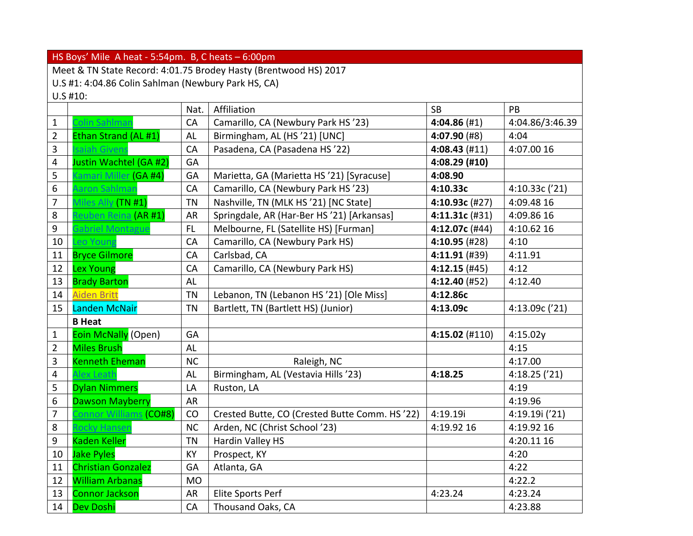|                         | HS Boys' Mile A heat - $5:54$ pm. B, C heats - $6:00$ pm         |           |                                               |                 |                 |  |  |  |  |  |  |
|-------------------------|------------------------------------------------------------------|-----------|-----------------------------------------------|-----------------|-----------------|--|--|--|--|--|--|
|                         | Meet & TN State Record: 4:01.75 Brodey Hasty (Brentwood HS) 2017 |           |                                               |                 |                 |  |  |  |  |  |  |
|                         | U.S #1: 4:04.86 Colin Sahlman (Newbury Park HS, CA)              |           |                                               |                 |                 |  |  |  |  |  |  |
|                         | $U.S$ #10:                                                       |           |                                               |                 |                 |  |  |  |  |  |  |
|                         |                                                                  | Nat.      | Affiliation                                   | <b>SB</b>       | PB              |  |  |  |  |  |  |
| $\mathbf{1}$            | Colin Sahlmar                                                    | CA        | Camarillo, CA (Newbury Park HS'23)            | 4:04.86(#1)     | 4:04.86/3:46.39 |  |  |  |  |  |  |
| $\overline{2}$          | Ethan Strand (AL #1)                                             | AL        | Birmingham, AL (HS'21) [UNC]                  | $4:07.90$ (#8)  | 4:04            |  |  |  |  |  |  |
| 3                       | saiah Givens                                                     | CA        | Pasadena, CA (Pasadena HS'22)                 | $4:08.43$ (#11) | 4:07.00 16      |  |  |  |  |  |  |
| 4                       | Justin Wachtel (GA #2)                                           | GA        |                                               | 4:08.29 (#10)   |                 |  |  |  |  |  |  |
| 5                       | Kamari Miller (GA #4)                                            | GA        | Marietta, GA (Marietta HS '21) [Syracuse]     | 4:08.90         |                 |  |  |  |  |  |  |
| 6                       | Aaron Sahlman                                                    | CA        | Camarillo, CA (Newbury Park HS'23)            | 4:10.33c        | 4:10.33c ('21)  |  |  |  |  |  |  |
| $\overline{7}$          | Miles Ally (TN #1)                                               | <b>TN</b> | Nashville, TN (MLK HS '21) [NC State]         | 4:10.93c (#27)  | 4:09.48 16      |  |  |  |  |  |  |
| 8                       | Reuben Reina (AR #1)                                             | <b>AR</b> | Springdale, AR (Har-Ber HS '21) [Arkansas]    | 4:11.31c (#31)  | 4:09.86 16      |  |  |  |  |  |  |
| 9                       | <b>Gabriel Montague</b>                                          | FL.       | Melbourne, FL (Satellite HS) [Furman]         | 4:12.07c (#44)  | 4:10.62 16      |  |  |  |  |  |  |
| 10                      | Leo Young                                                        | CA        | Camarillo, CA (Newbury Park HS)               | 4:10.95 (#28)   | 4:10            |  |  |  |  |  |  |
| 11                      | <b>Bryce Gilmore</b>                                             | CA        | Carlsbad, CA                                  | $4:11.91$ (#39) | 4:11.91         |  |  |  |  |  |  |
| 12                      | <b>Lex Young</b>                                                 | CA        | Camarillo, CA (Newbury Park HS)               | $4:12.15$ (#45) | 4:12            |  |  |  |  |  |  |
| 13                      | <b>Brady Barton</b>                                              | AL        |                                               | 4:12.40 (#52)   | 4:12.40         |  |  |  |  |  |  |
| 14                      | <b>Aiden Britt</b>                                               | <b>TN</b> | Lebanon, TN (Lebanon HS'21) [Ole Miss]        | 4:12.86c        |                 |  |  |  |  |  |  |
| 15                      | Landen McNair                                                    | <b>TN</b> | Bartlett, TN (Bartlett HS) (Junior)           | 4:13.09c        | 4:13.09c ('21)  |  |  |  |  |  |  |
|                         | <b>B</b> Heat                                                    |           |                                               |                 |                 |  |  |  |  |  |  |
| $\mathbf{1}$            | <b>Eoin McNally (Open)</b>                                       | GA        |                                               | 4:15.02 (#110)  | 4:15.02y        |  |  |  |  |  |  |
| $\overline{2}$          | <b>Miles Brush</b>                                               | <b>AL</b> |                                               |                 | 4:15            |  |  |  |  |  |  |
| 3                       | <b>Kenneth Eheman</b>                                            | <b>NC</b> | Raleigh, NC                                   |                 | 4:17.00         |  |  |  |  |  |  |
| $\overline{\mathbf{4}}$ | <b>Alex Leath</b>                                                | AL        | Birmingham, AL (Vestavia Hills '23)           | 4:18.25         | 4:18.25('21)    |  |  |  |  |  |  |
| 5                       | <b>Dylan Nimmers</b>                                             | LA        | Ruston, LA                                    |                 | 4:19            |  |  |  |  |  |  |
| 6                       | <b>Dawson Mayberry</b>                                           | AR        |                                               |                 | 4:19.96         |  |  |  |  |  |  |
| $\overline{7}$          | Connor Williams (CO#8)                                           | CO        | Crested Butte, CO (Crested Butte Comm. HS'22) | 4:19.19i        | 4:19.19i ('21)  |  |  |  |  |  |  |
| 8                       | Rocky Hansen                                                     | <b>NC</b> | Arden, NC (Christ School '23)                 | 4:19.92 16      | 4:19.92 16      |  |  |  |  |  |  |
| 9                       | <b>Kaden Keller</b>                                              | <b>TN</b> | Hardin Valley HS                              |                 | 4:20.11 16      |  |  |  |  |  |  |
| 10                      | <b>Jake Pyles</b>                                                | KY        | Prospect, KY                                  |                 | 4:20            |  |  |  |  |  |  |
| 11                      | <b>Christian Gonzalez</b>                                        | GA        | Atlanta, GA                                   |                 | 4:22            |  |  |  |  |  |  |
| 12                      | <b>William Arbanas</b>                                           | <b>MO</b> |                                               |                 | 4:22.2          |  |  |  |  |  |  |
| 13                      | <b>Connor Jackson</b>                                            | <b>AR</b> | Elite Sports Perf                             | 4:23.24         | 4:23.24         |  |  |  |  |  |  |
| 14                      | <b>Dev Doshi</b>                                                 | CA        | Thousand Oaks, CA                             |                 | 4:23.88         |  |  |  |  |  |  |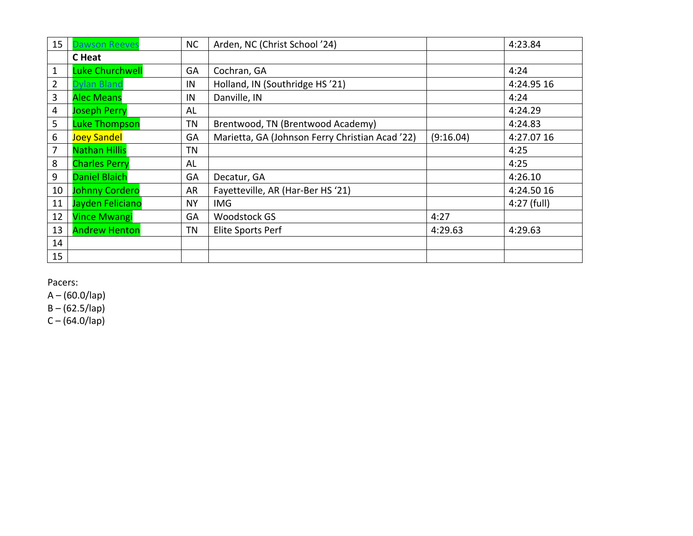| 15 <sub>1</sub> | awson Reeves           | <b>NC</b> | Arden, NC (Christ School '24)                   |           | 4:23.84     |
|-----------------|------------------------|-----------|-------------------------------------------------|-----------|-------------|
|                 | C Heat                 |           |                                                 |           |             |
| 1               | <b>Luke Churchwell</b> | GA        | Cochran, GA                                     |           | 4:24        |
| $\overline{2}$  | Dylan Bland            | IN        | Holland, IN (Southridge HS'21)                  |           | 4:24.95 16  |
| 3               | <b>Alec Means</b>      | IN        | Danville, IN                                    |           | 4:24        |
| 4               | <b>Joseph Perry</b>    | AL        |                                                 |           | 4:24.29     |
| 5               | <b>Luke Thompson</b>   | TN        | Brentwood, TN (Brentwood Academy)               |           | 4:24.83     |
| 6               | <b>Joey Sandel</b>     | GA        | Marietta, GA (Johnson Ferry Christian Acad '22) | (9:16.04) | 4:27.07 16  |
| 7               | <b>Nathan Hillis</b>   | TN        |                                                 |           | 4:25        |
| 8               | <b>Charles Perry</b>   | AL        |                                                 |           | 4:25        |
| 9               | <b>Daniel Blaich</b>   | GA        | Decatur, GA                                     |           | 4:26.10     |
| 10              | <b>Johnny Cordero</b>  | AR        | Fayetteville, AR (Har-Ber HS '21)               |           | 4:24.50 16  |
| 11              | Jayden Feliciano       | <b>NY</b> | <b>IMG</b>                                      |           | 4:27 (full) |
| 12              | <b>Vince Mwangi</b>    | GA        | <b>Woodstock GS</b>                             | 4:27      |             |
| 13              | <b>Andrew Henton</b>   | TN        | Elite Sports Perf                               | 4:29.63   | 4:29.63     |
| 14              |                        |           |                                                 |           |             |
| 15 <sub>1</sub> |                        |           |                                                 |           |             |

A – (60.0/lap)

B – (62.5/lap)

C – (64.0/lap)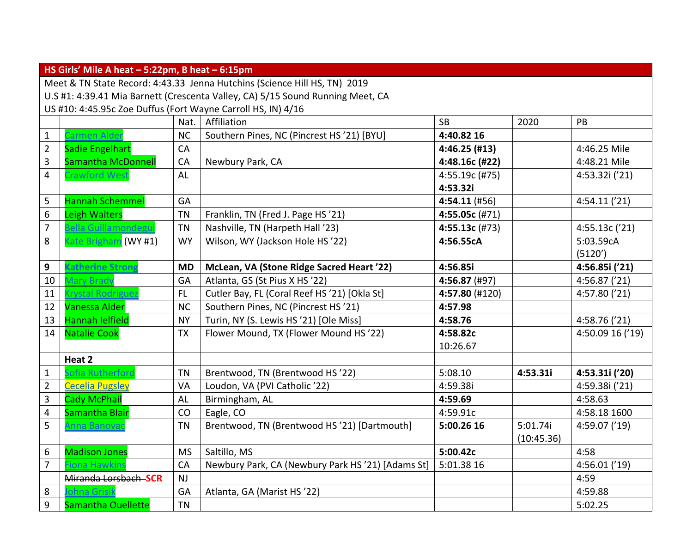|                         | HS Girls' Mile A heat - 5:22pm, B heat - 6:15pm                                |           |                                                  |                |            |                  |  |  |  |  |  |  |
|-------------------------|--------------------------------------------------------------------------------|-----------|--------------------------------------------------|----------------|------------|------------------|--|--|--|--|--|--|
|                         | Meet & TN State Record: 4:43.33 Jenna Hutchins (Science Hill HS, TN) 2019      |           |                                                  |                |            |                  |  |  |  |  |  |  |
|                         | U.S #1: 4:39.41 Mia Barnett (Crescenta Valley, CA) 5/15 Sound Running Meet, CA |           |                                                  |                |            |                  |  |  |  |  |  |  |
|                         | US #10: 4:45.95c Zoe Duffus (Fort Wayne Carroll HS, IN) 4/16                   |           |                                                  |                |            |                  |  |  |  |  |  |  |
|                         |                                                                                | Nat.      | Affiliation                                      | <b>SB</b>      | 2020       | PB               |  |  |  |  |  |  |
| $\mathbf{1}$            | Carmen Aldei                                                                   | <b>NC</b> | Southern Pines, NC (Pincrest HS '21) [BYU]       | 4:40.82 16     |            |                  |  |  |  |  |  |  |
| $\overline{2}$          | <b>Sadie Engelhart</b>                                                         | CA        |                                                  | 4:46.25 (#13)  |            | 4:46.25 Mile     |  |  |  |  |  |  |
| 3                       | <b>Samantha McDonnell</b>                                                      | CA        | Newbury Park, CA                                 | 4:48.16c (#22) |            | 4:48.21 Mile     |  |  |  |  |  |  |
| $\overline{\mathbf{4}}$ | Crawford West                                                                  | <b>AL</b> |                                                  | 4:55.19c (#75) |            | 4:53.32i ('21)   |  |  |  |  |  |  |
|                         |                                                                                |           |                                                  | 4:53.32i       |            |                  |  |  |  |  |  |  |
| 5                       | <b>Hannah Schemmel</b>                                                         | GA        |                                                  | 4:54.11 (#56)  |            | 4:54.11('21)     |  |  |  |  |  |  |
| 6                       | <b>Leigh Walters</b>                                                           | <b>TN</b> | Franklin, TN (Fred J. Page HS'21)                | 4:55.05c (#71) |            |                  |  |  |  |  |  |  |
| $\overline{7}$          | Bella Guillamondegu                                                            | <b>TN</b> | Nashville, TN (Harpeth Hall '23)                 | 4:55.13c (#73) |            | 4:55.13c('21)    |  |  |  |  |  |  |
| 8                       | (ate Brigham (WY #1)                                                           | <b>WY</b> | Wilson, WY (Jackson Hole HS'22)                  | 4:56.55cA      |            | 5:03.59cA        |  |  |  |  |  |  |
|                         |                                                                                |           |                                                  |                |            | (5120')          |  |  |  |  |  |  |
| 9                       | <b>Katherine Strong</b>                                                        | <b>MD</b> | McLean, VA (Stone Ridge Sacred Heart '22)        | 4:56.85i       |            | 4:56.85i ('21)   |  |  |  |  |  |  |
| 10                      | <b>Mary Brady</b>                                                              | GA        | Atlanta, GS (St Pius X HS '22)                   | 4:56.87 (#97)  |            | 4:56.87('21)     |  |  |  |  |  |  |
| 11                      | <b>Crystal Rodriguez</b>                                                       | FL.       | Cutler Bay, FL (Coral Reef HS '21) [Okla St]     | 4:57.80 (#120) |            | 4:57.80('21)     |  |  |  |  |  |  |
| 12                      | <b>Vanessa Alder</b>                                                           | <b>NC</b> | Southern Pines, NC (Pincrest HS'21)              | 4:57.98        |            |                  |  |  |  |  |  |  |
| 13                      | <b>Hannah lelfield</b>                                                         | <b>NY</b> | Turin, NY (S. Lewis HS '21) [Ole Miss]           | 4:58.76        |            | 4:58.76('21)     |  |  |  |  |  |  |
| 14                      | <b>Natalie Cook</b>                                                            | <b>TX</b> | Flower Mound, TX (Flower Mound HS'22)            | 4:58.82c       |            | 4:50.09 16 ('19) |  |  |  |  |  |  |
|                         |                                                                                |           |                                                  | 10:26.67       |            |                  |  |  |  |  |  |  |
|                         | Heat 2                                                                         |           |                                                  |                |            |                  |  |  |  |  |  |  |
| $1\,$                   | Sofia Rutherford                                                               | <b>TN</b> | Brentwood, TN (Brentwood HS'22)                  | 5:08.10        | 4:53.31i   | 4:53.31i ('20)   |  |  |  |  |  |  |
| $\overline{2}$          | <b>Cecelia Pugsley</b>                                                         | VA        | Loudon, VA (PVI Catholic '22)                    | 4:59.38i       |            | 4:59.38i ('21)   |  |  |  |  |  |  |
| 3                       | <b>Cady McPhail</b>                                                            | AL        | Birmingham, AL                                   | 4:59.69        |            | 4:58.63          |  |  |  |  |  |  |
| $\overline{\mathbf{4}}$ | Samantha Blair                                                                 | CO        | Eagle, CO                                        | 4:59.91c       |            | 4:58.18 1600     |  |  |  |  |  |  |
| 5                       | Anna Banovac                                                                   | <b>TN</b> | Brentwood, TN (Brentwood HS'21) [Dartmouth]      | 5:00.26 16     | 5:01.74i   | 4:59.07('19)     |  |  |  |  |  |  |
|                         |                                                                                |           |                                                  |                | (10:45.36) |                  |  |  |  |  |  |  |
| 6                       | <b>Madison Jones</b>                                                           | <b>MS</b> | Saltillo, MS                                     | 5:00.42c       |            | 4:58             |  |  |  |  |  |  |
| $\overline{7}$          | iona Hawkins                                                                   | CA        | Newbury Park, CA (Newbury Park HS'21) [Adams St] | 5:01.38 16     |            | 4:56.01('19)     |  |  |  |  |  |  |
|                         | Miranda Lorsbach SCR                                                           | <b>NJ</b> |                                                  |                |            | 4:59             |  |  |  |  |  |  |
| 8                       | ohna Grisil                                                                    | GA        | Atlanta, GA (Marist HS '22)                      |                |            | 4:59.88          |  |  |  |  |  |  |
| 9                       | <b>Samantha Ouellette</b>                                                      | <b>TN</b> |                                                  |                |            | 5:02.25          |  |  |  |  |  |  |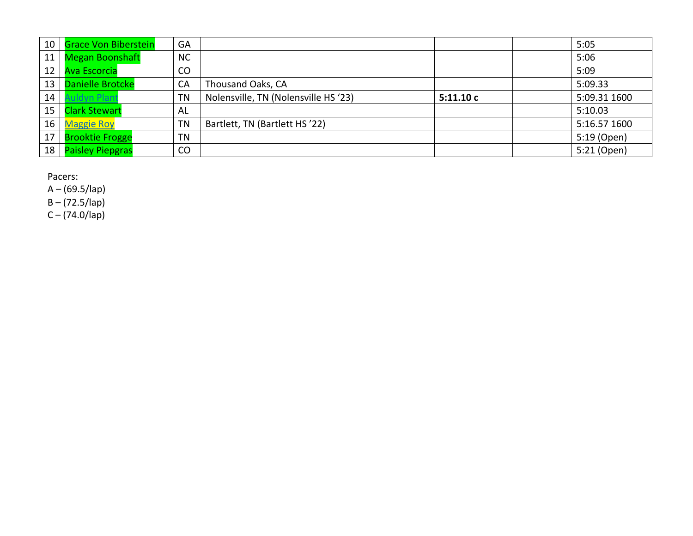| 10 | <b>Grace Von Biberstein</b> | GA        |                                      |          | 5:05         |
|----|-----------------------------|-----------|--------------------------------------|----------|--------------|
| 11 | <b>Megan Boonshaft</b>      | <b>NC</b> |                                      |          | 5:06         |
| 12 | <b>Ava Escorcia</b>         | CO        |                                      |          | 5:09         |
| 13 | <b>Danielle Brotcke</b>     | CA        | Thousand Oaks, CA                    |          | 5:09.33      |
| 14 | uldyn Plant                 | <b>TN</b> | Nolensville, TN (Nolensville HS '23) | 5:11.10c | 5:09.31 1600 |
| 15 | <b>Clark Stewart</b>        | AL        |                                      |          | 5:10.03      |
| 16 | <b>Maggie Roy</b>           | TN        | Bartlett, TN (Bartlett HS'22)        |          | 5:16.57 1600 |
| 17 | <b>Brooktie Frogge</b>      | TN        |                                      |          | 5:19 (Open)  |
| 18 | <b>Paisley Piepgras</b>     | CO        |                                      |          | 5:21 (Open)  |

A – (69.5/lap)

B – (72.5/lap)

C – (74.0/lap)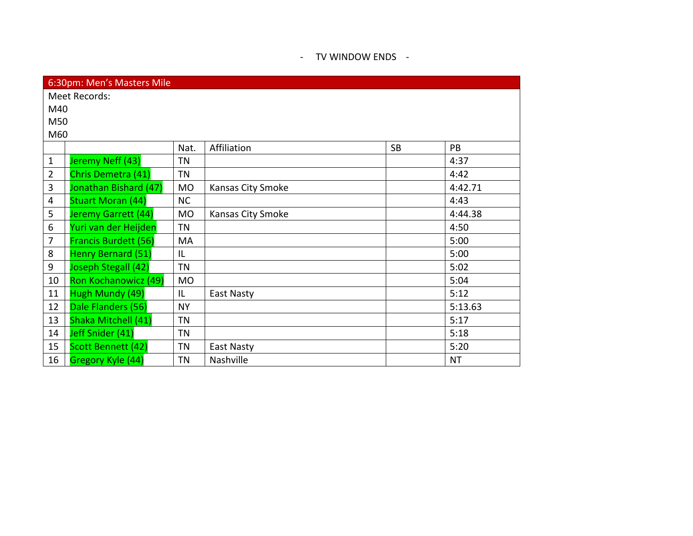### - TV WINDOW ENDS -

| 6:30pm: Men's Masters Mile |                             |           |                   |           |           |  |  |  |
|----------------------------|-----------------------------|-----------|-------------------|-----------|-----------|--|--|--|
| Meet Records:              |                             |           |                   |           |           |  |  |  |
|                            | M40                         |           |                   |           |           |  |  |  |
| M50                        |                             |           |                   |           |           |  |  |  |
| M60                        |                             |           |                   |           |           |  |  |  |
|                            |                             | Nat.      | Affiliation       | <b>SB</b> | PB        |  |  |  |
| $\mathbf{1}$               | Jeremy Neff (43)            | ΤN        |                   |           | 4:37      |  |  |  |
| $\overline{2}$             | Chris Demetra (41)          | <b>TN</b> |                   |           | 4:42      |  |  |  |
| 3                          | Jonathan Bishard (47)       | <b>MO</b> | Kansas City Smoke |           | 4:42.71   |  |  |  |
| $\overline{4}$             | <b>Stuart Moran (44)</b>    | <b>NC</b> |                   |           | 4:43      |  |  |  |
| 5                          | Jeremy Garrett (44)         | <b>MO</b> | Kansas City Smoke |           | 4:44.38   |  |  |  |
| 6                          | Yuri van der Heijden        | <b>TN</b> |                   |           | 4:50      |  |  |  |
| $\overline{7}$             | <b>Francis Burdett (56)</b> | MA        |                   |           | 5:00      |  |  |  |
| 8                          | Henry Bernard (51)          | IL        |                   |           | 5:00      |  |  |  |
| 9                          | Joseph Stegall (42)         | TN        |                   |           | 5:02      |  |  |  |
| 10                         | Ron Kochanowicz (49)        | <b>MO</b> |                   |           | 5:04      |  |  |  |
| 11                         | Hugh Mundy (49)             | IL.       | East Nasty        |           | 5:12      |  |  |  |
| 12                         | Dale Flanders (56)          | <b>NY</b> |                   |           | 5:13.63   |  |  |  |
| 13                         | Shaka Mitchell (41)         | <b>TN</b> |                   |           | 5:17      |  |  |  |
| 14                         | Jeff Snider (41)            | <b>TN</b> |                   |           | 5:18      |  |  |  |
| 15                         | Scott Bennett (42)          | ΤN        | East Nasty        |           | 5:20      |  |  |  |
| 16                         | Gregory Kyle (44)           | <b>TN</b> | Nashville         |           | <b>NT</b> |  |  |  |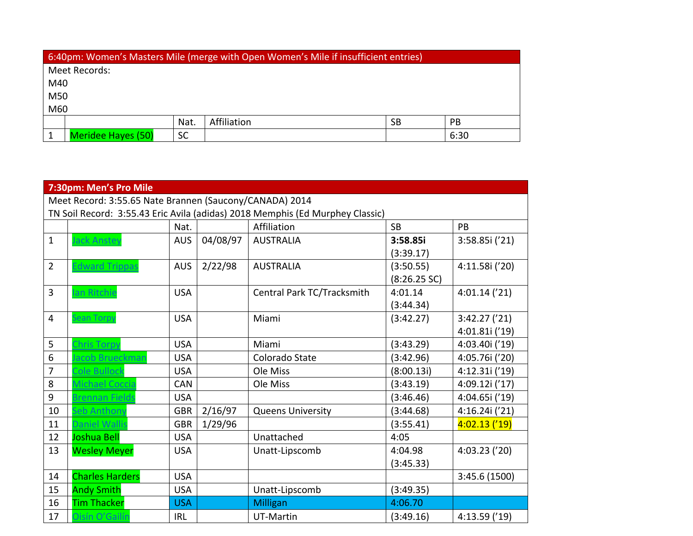| 6:40pm: Women's Masters Mile (merge with Open Women's Mile if insufficient entries) |                                        |           |  |  |      |  |  |
|-------------------------------------------------------------------------------------|----------------------------------------|-----------|--|--|------|--|--|
|                                                                                     | Meet Records:                          |           |  |  |      |  |  |
|                                                                                     | M40                                    |           |  |  |      |  |  |
|                                                                                     | M50                                    |           |  |  |      |  |  |
| M60                                                                                 |                                        |           |  |  |      |  |  |
|                                                                                     | Affiliation<br>Nat.<br><b>PB</b><br>SB |           |  |  |      |  |  |
|                                                                                     | <b>Meridee Hayes (50)</b>              | <b>SC</b> |  |  | 6:30 |  |  |

| 7:30pm: Men's Pro Mile                                                        |                        |            |          |                            |                |                |
|-------------------------------------------------------------------------------|------------------------|------------|----------|----------------------------|----------------|----------------|
| Meet Record: 3:55.65 Nate Brannen (Saucony/CANADA) 2014                       |                        |            |          |                            |                |                |
| TN Soil Record: 3:55.43 Eric Avila (adidas) 2018 Memphis (Ed Murphey Classic) |                        |            |          |                            |                |                |
|                                                                               |                        | Nat.       |          | Affiliation                | <b>SB</b>      | PB             |
| $\mathbf{1}$                                                                  | <b>Jack Anstey</b>     | <b>AUS</b> | 04/08/97 | <b>AUSTRALIA</b>           | 3:58.85i       | 3:58.85i ('21) |
|                                                                               |                        |            |          |                            | (3:39.17)      |                |
| $\overline{2}$                                                                | <b>Edward Trippas</b>  | <b>AUS</b> | 2/22/98  | <b>AUSTRALIA</b>           | (3:50.55)      | 4:11.58i ('20) |
|                                                                               |                        |            |          |                            | $(8:26.25$ SC) |                |
| $\overline{3}$                                                                | lan Ritchie            | <b>USA</b> |          | Central Park TC/Tracksmith | 4:01.14        | 4:01.14('21)   |
|                                                                               |                        |            |          |                            | (3:44.34)      |                |
| $\overline{4}$                                                                | <b>Sean Torpy</b>      | <b>USA</b> |          | Miami                      | (3:42.27)      | 3:42.27('21)   |
|                                                                               |                        |            |          |                            |                | 4:01.81i ('19) |
| 5                                                                             | <b>Chris Torpy</b>     | <b>USA</b> |          | Miami                      | (3:43.29)      | 4:03.40i ('19) |
| 6                                                                             | acob Brueckman         | <b>USA</b> |          | Colorado State             | (3:42.96)      | 4:05.76i ('20) |
| 7                                                                             | Cole Bullock           | <b>USA</b> |          | Ole Miss                   | (8:00.13i)     | 4:12.31i ('19) |
| 8                                                                             | Michael Coccia         | <b>CAN</b> |          | Ole Miss                   | (3:43.19)      | 4:09.12i ('17) |
| 9                                                                             | Brennan Fields         | <b>USA</b> |          |                            | (3:46.46)      | 4:04.65i ('19) |
| 10                                                                            | Seb Anthony            | <b>GBR</b> | 2/16/97  | <b>Queens University</b>   | (3:44.68)      | 4:16.24i ('21) |
| 11                                                                            | Daniel Wallis          | <b>GBR</b> | 1/29/96  |                            | (3:55.41)      | 4:02.13('19)   |
| 12                                                                            | Joshua Bell            | <b>USA</b> |          | Unattached                 | 4:05           |                |
| 13                                                                            | <b>Wesley Meyer</b>    | <b>USA</b> |          | Unatt-Lipscomb             | 4:04.98        | 4:03.23('20)   |
|                                                                               |                        |            |          |                            | (3:45.33)      |                |
| 14                                                                            | <b>Charles Harders</b> | <b>USA</b> |          |                            |                | 3:45.6 (1500)  |
| 15                                                                            | <b>Andy Smith</b>      | <b>USA</b> |          | Unatt-Lipscomb             | (3:49.35)      |                |
| 16                                                                            | <b>Tim Thacker</b>     | <b>USA</b> |          | <b>Milligan</b>            | 4:06.70        |                |
| 17                                                                            | Oisín O'Gailín         | IRL        |          | UT-Martin                  | (3:49.16)      | 4:13.59('19)   |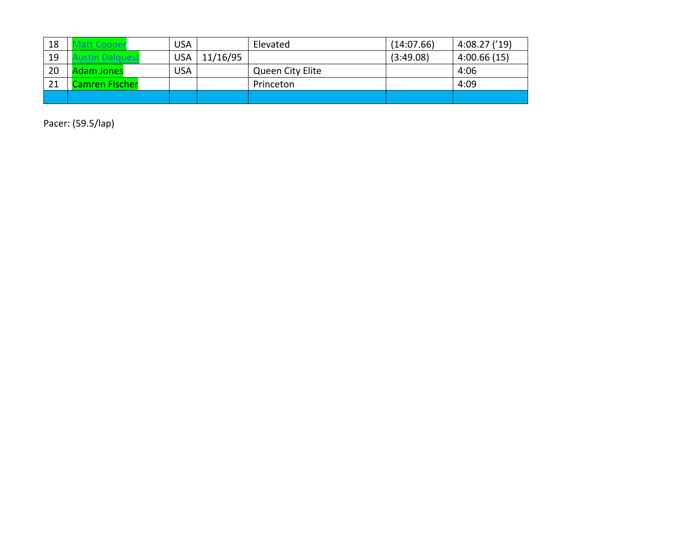| 18 |                | <b>USA</b> |          | Elevated         | (14:07.66) | 4:08.27('19) |
|----|----------------|------------|----------|------------------|------------|--------------|
| 19 |                | <b>USA</b> | 11/16/95 |                  | (3:49.08)  | 4:00.66(15)  |
| 20 | dam Jones      | <b>USA</b> |          | Queen City Elite |            | 4:06         |
| 21 | Camren Fischer |            |          | Princeton        |            | 4:09         |
|    |                |            |          |                  |            |              |

Pacer: (59.5/lap)